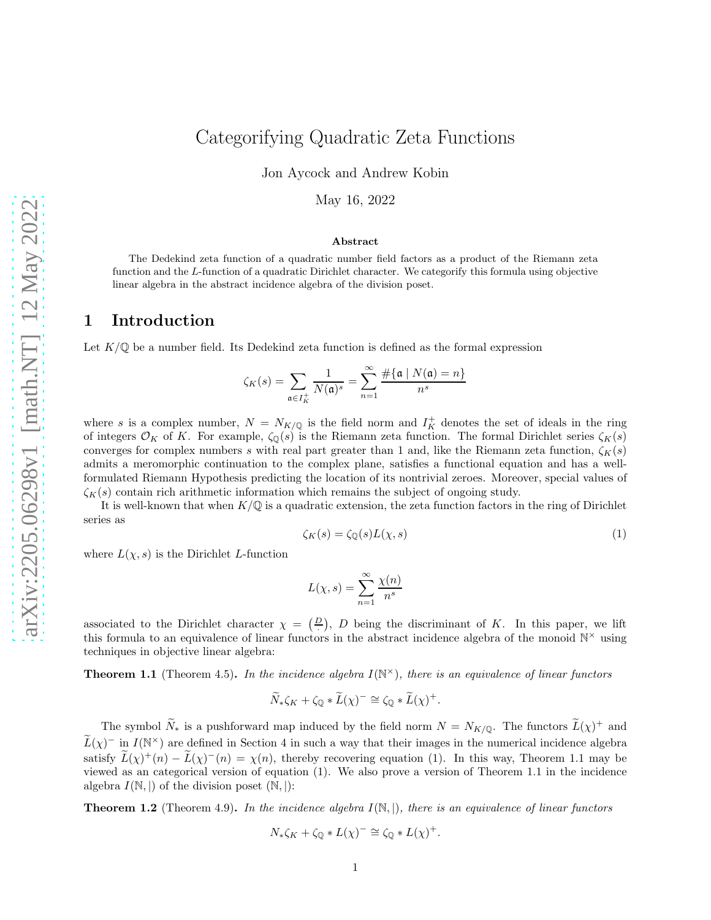# Categorifying Quadratic Zeta Functions

Jon Aycock and Andrew Kobin

May 16, 2022

#### Abstract

The Dedekind zeta function of a quadratic number field factors as a product of the Riemann zeta function and the L-function of a quadratic Dirichlet character. We categorify this formula using objective linear algebra in the abstract incidence algebra of the division poset.

### 1 Introduction

Let  $K/\mathbb{Q}$  be a number field. Its Dedekind zeta function is defined as the formal expression

$$
\zeta_K(s) = \sum_{\mathfrak{a} \in I_K^+} \frac{1}{N(\mathfrak{a})^s} = \sum_{n=1}^\infty \frac{\#\{\mathfrak{a} \mid N(\mathfrak{a}) = n\}}{n^s}
$$

where s is a complex number,  $N = N_{K/\mathbb{Q}}$  is the field norm and  $I_K^+$  denotes the set of ideals in the ring of integers  $\mathcal{O}_K$  of K. For example,  $\zeta_{\mathbb{Q}}(s)$  is the Riemann zeta function. The formal Dirichlet series  $\zeta_K(s)$ converges for complex numbers s with real part greater than 1 and, like the Riemann zeta function,  $\zeta_K(s)$ admits a meromorphic continuation to the complex plane, satisfies a functional equation and has a wellformulated Riemann Hypothesis predicting the location of its nontrivial zeroes. Moreover, special values of  $\zeta_K(s)$  contain rich arithmetic information which remains the subject of ongoing study.

It is well-known that when  $K/\mathbb{Q}$  is a quadratic extension, the zeta function factors in the ring of Dirichlet series as

<span id="page-0-0"></span>
$$
\zeta_K(s) = \zeta_{\mathbb{Q}}(s)L(\chi, s) \tag{1}
$$

where  $L(\chi, s)$  is the Dirichlet L-function

$$
L(\chi, s) = \sum_{n=1}^{\infty} \frac{\chi(n)}{n^s}
$$

associated to the Dirichlet character  $\chi = \left(\frac{D}{r}\right)$ , D being the discriminant of K. In this paper, we lift this formula to an equivalence of linear functors in the abstract incidence algebra of the monoid  $\mathbb{N}^{\times}$  using techniques in objective linear algebra:

<span id="page-0-1"></span>Theorem 1.1 (Theorem [4.5\)](#page-11-0). *In the incidence algebra* I(N <sup>×</sup>)*, there is an equivalence of linear functors*

$$
\widetilde{N}_*\zeta_K + \zeta_{\mathbb{Q}} * \widetilde{L}(\chi)^- \cong \zeta_{\mathbb{Q}} * \widetilde{L}(\chi)^+.
$$

The symbol  $\tilde{N}_*$  is a pushforward map induced by the field norm  $N = N_{K/\mathbb{Q}}$ . The functors  $\tilde{L}(\chi)^+$  and  $\widehat{L}(\chi)^{-}$  in  $I(\mathbb{N}^{\times})$  are defined in Section [4](#page-8-0) in such a way that their images in the numerical incidence algebra satisfy  $L(\chi)^+(n) - L(\chi)^-(n) = \chi(n)$ , thereby recovering equation [\(1\)](#page-0-0). In this way, Theorem [1.1](#page-0-1) may be viewed as an categorical version of equation [\(1\)](#page-0-0). We also prove a version of Theorem [1.1](#page-0-1) in the incidence algebra  $I(\mathbb{N},\mathbb{N})$  of the division poset  $(\mathbb{N},\mathbb{N})$ :

<span id="page-0-2"></span>Theorem 1.2 (Theorem [4.9\)](#page-18-0). *In the incidence algebra* I(N, |)*, there is an equivalence of linear functors*

$$
N_{*}\zeta_{K} + \zeta_{\mathbb{Q}} * L(\chi)^{-} \cong \zeta_{\mathbb{Q}} * L(\chi)^{+}.
$$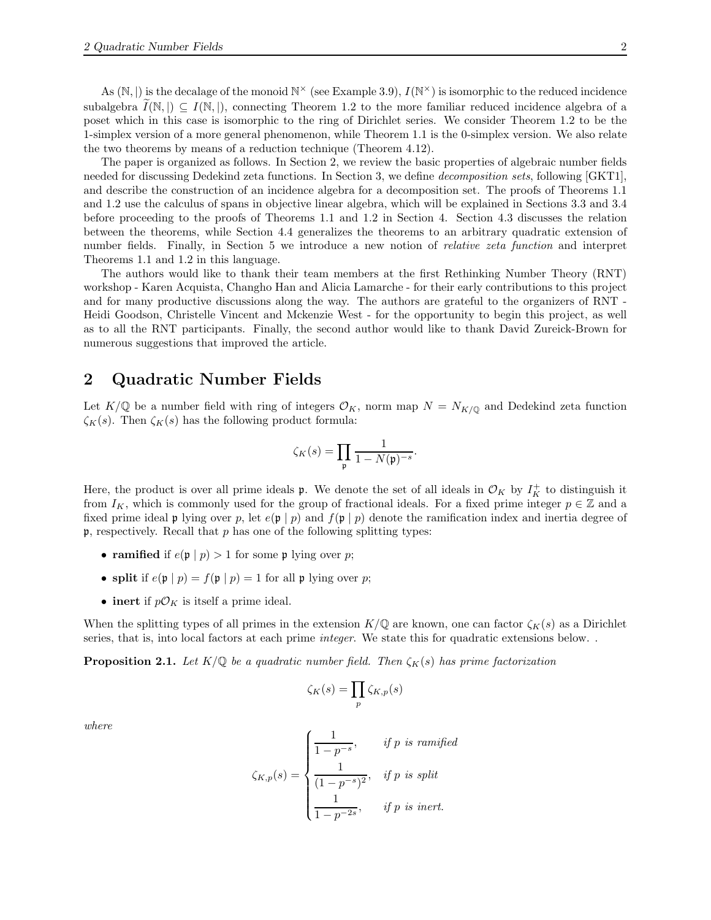As  $(N, |)$  is the decalage of the monoid  $N^{\times}$  (see Example [3.9\)](#page-5-0),  $I(N^{\times})$  is isomorphic to the reduced incidence subalgebra  $I(\mathbb{N},) \subseteq I(\mathbb{N},)$ , connecting Theorem [1.2](#page-0-2) to the more familiar reduced incidence algebra of a poset which in this case is isomorphic to the ring of Dirichlet series. We consider Theorem [1.2](#page-0-2) to be the 1-simplex version of a more general phenomenon, while Theorem [1.1](#page-0-1) is the 0-simplex version. We also relate the two theorems by means of a reduction technique (Theorem [4.12\)](#page-21-0).

The paper is organized as follows. In Section [2,](#page-1-0) we review the basic properties of algebraic number fields needed for discussing Dedekind zeta functions. In Section [3,](#page-2-0) we define *decomposition sets*, following [\[GKT1\]](#page-25-0), and describe the construction of an incidence algebra for a decomposition set. The proofs of Theorems [1.1](#page-0-1) and [1.2](#page-0-2) use the calculus of spans in objective linear algebra, which will be explained in Sections [3.3](#page-6-0) and [3.4](#page-7-0) before proceeding to the proofs of Theorems [1.1](#page-0-1) and [1.2](#page-0-2) in Section [4.](#page-8-0) Section [4.3](#page-20-0) discusses the relation between the theorems, while Section [4.4](#page-22-0) generalizes the theorems to an arbitrary quadratic extension of number fields. Finally, in Section [5](#page-22-1) we introduce a new notion of *relative zeta function* and interpret Theorems [1.1](#page-0-1) and [1.2](#page-0-2) in this language.

The authors would like to thank their team members at the first Rethinking Number Theory (RNT) workshop - Karen Acquista, Changho Han and Alicia Lamarche - for their early contributions to this project and for many productive discussions along the way. The authors are grateful to the organizers of RNT - Heidi Goodson, Christelle Vincent and Mckenzie West - for the opportunity to begin this project, as well as to all the RNT participants. Finally, the second author would like to thank David Zureick-Brown for numerous suggestions that improved the article.

# <span id="page-1-0"></span>2 Quadratic Number Fields

Let  $K/\mathbb{Q}$  be a number field with ring of integers  $\mathcal{O}_K$ , norm map  $N = N_{K/\mathbb{Q}}$  and Dedekind zeta function  $\zeta_K(s)$ . Then  $\zeta_K(s)$  has the following product formula:

$$
\zeta_K(s) = \prod_{\mathfrak{p}} \frac{1}{1 - N(\mathfrak{p})^{-s}}.
$$

Here, the product is over all prime ideals **p**. We denote the set of all ideals in  $\mathcal{O}_K$  by  $I_K^+$  to distinguish it from  $I_K$ , which is commonly used for the group of fractional ideals. For a fixed prime integer  $p \in \mathbb{Z}$  and a fixed prime ideal p lying over p, let  $e(\mathfrak{p} \mid p)$  and  $f(\mathfrak{p} \mid p)$  denote the ramification index and inertia degree of  $\mathfrak{p}$ , respectively. Recall that p has one of the following splitting types:

- ramified if  $e(\mathfrak{p} \mid p) > 1$  for some p lying over p;
- split if  $e(\mathfrak{p} \mid p) = f(\mathfrak{p} \mid p) = 1$  for all  $\mathfrak{p}$  lying over p;
- inert if  $p\mathcal{O}_K$  is itself a prime ideal.

When the splitting types of all primes in the extension  $K/\mathbb{Q}$  are known, one can factor  $\zeta_K(s)$  as a Dirichlet series, that is, into local factors at each prime *integer*. We state this for quadratic extensions below. .

**Proposition 2.1.** Let  $K/\mathbb{Q}$  be a quadratic number field. Then  $\zeta_K(s)$  has prime factorization

$$
\zeta_K(s) = \prod_p \zeta_{K,p}(s)
$$

*where*

$$
\zeta_{K,p}(s) = \begin{cases}\n\frac{1}{1 - p^{-s}}, & \text{if } p \text{ is ramified} \\
\frac{1}{(1 - p^{-s})^2}, & \text{if } p \text{ is split} \\
\frac{1}{1 - p^{-2s}}, & \text{if } p \text{ is inert.}\n\end{cases}
$$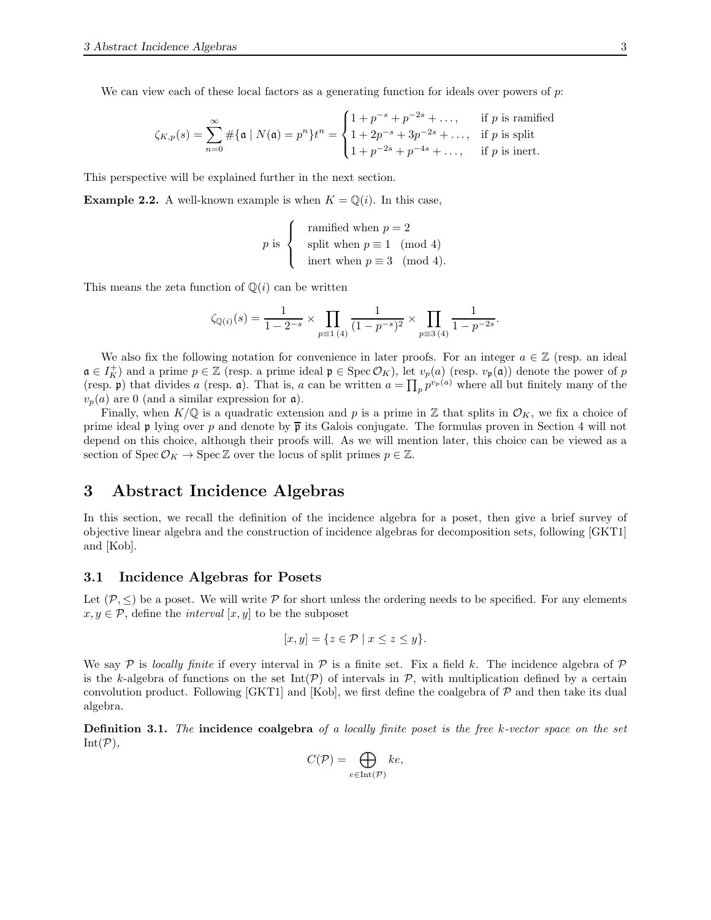We can view each of these local factors as a generating function for ideals over powers of  $p$ :

$$
\zeta_{K,p}(s) = \sum_{n=0}^{\infty} \# \{ \mathfrak{a} \mid N(\mathfrak{a}) = p^n \} t^n = \begin{cases} 1 + p^{-s} + p^{-2s} + \dots, & \text{if } p \text{ is ramified} \\ 1 + 2p^{-s} + 3p^{-2s} + \dots, & \text{if } p \text{ is split} \\ 1 + p^{-2s} + p^{-4s} + \dots, & \text{if } p \text{ is inert.} \end{cases}
$$

This perspective will be explained further in the next section.

**Example 2.2.** A well-known example is when  $K = \mathbb{Q}(i)$ . In this case,

$$
p \text{ is } \begin{cases} \text{ramified when } p = 2 \\ \text{split when } p \equiv 1 \pmod{4} \\ \text{inert when } p \equiv 3 \pmod{4}. \end{cases}
$$

This means the zeta function of  $\mathbb{Q}(i)$  can be written

$$
\zeta_{\mathbb{Q}(i)}(s) = \frac{1}{1 - 2^{-s}} \times \prod_{p \equiv 1 \ (4)} \frac{1}{(1 - p^{-s})^2} \times \prod_{p \equiv 3 \ (4)} \frac{1}{1 - p^{-2s}}.
$$

We also fix the following notation for convenience in later proofs. For an integer  $a \in \mathbb{Z}$  (resp. an ideal  $\mathfrak{a} \in I_K^+$  and a prime  $p \in \mathbb{Z}$  (resp. a prime ideal  $\mathfrak{p} \in \text{Spec } \mathcal{O}_K$ ), let  $v_p(a)$  (resp.  $v_{\mathfrak{p}}(\mathfrak{a})$ ) denote the power of p (resp. p) that divides a (resp. a). That is, a can be written  $a = \prod_p p^{v_p(a)}$  where all but finitely many of the  $v_p(a)$  are 0 (and a similar expression for  $\mathfrak{a}$ ).

Finally, when  $K/\mathbb{Q}$  is a quadratic extension and p is a prime in Z that splits in  $\mathcal{O}_K$ , we fix a choice of prime ideal p lying over p and denote by  $\bar{p}$  its Galois conjugate. The formulas proven in Section [4](#page-8-0) will not depend on this choice, although their proofs will. As we will mention later, this choice can be viewed as a section of  $Spec \mathcal{O}_K \to Spec \mathbb{Z}$  over the locus of split primes  $p \in \mathbb{Z}$ .

# <span id="page-2-0"></span>3 Abstract Incidence Algebras

In this section, we recall the definition of the incidence algebra for a poset, then give a brief survey of objective linear algebra and the construction of incidence algebras for decomposition sets, following [\[GKT1\]](#page-25-0) and [\[Kob\]](#page-25-1).

### 3.1 Incidence Algebras for Posets

Let  $(\mathcal{P}, \leq)$  be a poset. We will write  $\mathcal P$  for short unless the ordering needs to be specified. For any elements  $x, y \in \mathcal{P}$ , define the *interval* [x, y] to be the subposet

$$
[x, y] = \{ z \in \mathcal{P} \mid x \le z \le y \}.
$$

We say  $P$  is *locally finite* if every interval in  $P$  is a finite set. Fix a field k. The incidence algebra of  $P$ is the k-algebra of functions on the set  $Int(\mathcal{P})$  of intervals in  $\mathcal{P}$ , with multiplication defined by a certain convolution product. Following  $[GKT1]$  and  $[Kob]$ , we first define the coalgebra of  $P$  and then take its dual algebra.

Definition 3.1. *The* incidence coalgebra *of a locally finite poset is the free* k*-vector space on the set*  $Int(P)$ ,

$$
C(\mathcal{P}) = \bigoplus_{e \in \text{Int}(\mathcal{P})} ke,
$$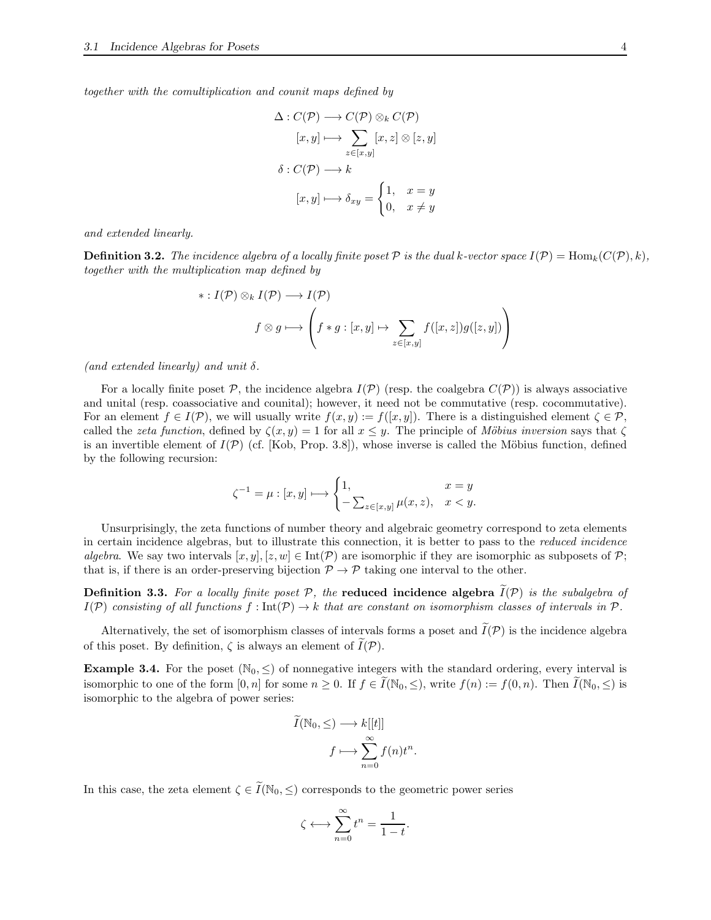*together with the comultiplication and counit maps defined by*

$$
\Delta: C(\mathcal{P}) \longrightarrow C(\mathcal{P}) \otimes_k C(\mathcal{P})
$$

$$
[x, y] \longmapsto \sum_{z \in [x, y]} [x, z] \otimes [z, y]
$$

$$
\delta: C(\mathcal{P}) \longrightarrow k
$$

$$
[x, y] \longmapsto \delta_{xy} = \begin{cases} 1, & x = y \\ 0, & x \neq y \end{cases}
$$

*and extended linearly.*

**Definition 3.2.** The incidence algebra of a locally finite poset  $\mathcal P$  is the dual k-vector space  $I(\mathcal P) = \text{Hom}_k(C(\mathcal P), k)$ , *together with the multiplication map defined by*

$$
\ast: I(\mathcal{P}) \otimes_k I(\mathcal{P}) \longrightarrow I(\mathcal{P})
$$

$$
f \otimes g \longmapsto \left( f \ast g : [x, y] \mapsto \sum_{z \in [x, y]} f([x, z]) g([z, y]) \right)
$$

*(and extended linearly) and unit* δ*.*

For a locally finite poset  $P$ , the incidence algebra  $I(P)$  (resp. the coalgebra  $C(P)$ ) is always associative and unital (resp. coassociative and counital); however, it need not be commutative (resp. cocommutative). For an element  $f \in I(\mathcal{P})$ , we will usually write  $f(x, y) := f([x, y])$ . There is a distinguished element  $\zeta \in \mathcal{P}$ , called the *zeta function*, defined by  $\zeta(x, y) = 1$  for all  $x \leq y$ . The principle of *Möbius inversion* says that  $\zeta$ is an invertible element of  $I(\mathcal{P})$  (cf. [\[Kob,](#page-25-1) Prop. 3.8]), whose inverse is called the Möbius function, defined by the following recursion:

$$
\zeta^{-1} = \mu : [x, y] \longmapsto \begin{cases} 1, & x = y \\ -\sum_{z \in [x, y]} \mu(x, z), & x < y. \end{cases}
$$

Unsurprisingly, the zeta functions of number theory and algebraic geometry correspond to zeta elements in certain incidence algebras, but to illustrate this connection, it is better to pass to the *reduced incidence algebra*. We say two intervals  $[x, y]$ ,  $[z, w] \in \text{Int}(\mathcal{P})$  are isomorphic if they are isomorphic as subposets of P; that is, if there is an order-preserving bijection  $\mathcal{P} \to \mathcal{P}$  taking one interval to the other.

**Definition 3.3.** For a locally finite poset  $P$ , the **reduced incidence algebra**  $I(P)$  is the subalgebra of  $I(\mathcal{P})$  consisting of all functions  $f: \text{Int}(\mathcal{P}) \to k$  that are constant on isomorphism classes of intervals in  $\mathcal{P}$ .

Alternatively, the set of isomorphism classes of intervals forms a poset and  $\tilde{I}(\mathcal{P})$  is the incidence algebra of this poset. By definition,  $\zeta$  is always an element of  $\overline{I}(\mathcal{P})$ .

<span id="page-3-0"></span>**Example 3.4.** For the poset  $(N_0, \leq)$  of nonnegative integers with the standard ordering, every interval is isomorphic to one of the form  $[0, n]$  for some  $n \geq 0$ . If  $f \in \tilde{I}(\mathbb{N}_0, \leq)$ , write  $f(n) := f(0, n)$ . Then  $\tilde{I}(\mathbb{N}_0, \leq)$  is isomorphic to the algebra of power series:

$$
I(\mathbb{N}_0, \leq) \longrightarrow k[[t]]
$$

$$
f \longmapsto \sum_{n=0}^{\infty} f(n)t^n.
$$

In this case, the zeta element  $\zeta \in \widetilde{I}(\mathbb{N}_0, \leq)$  corresponds to the geometric power series

$$
\zeta \longleftrightarrow \sum_{n=0}^{\infty} t^n = \frac{1}{1-t}.
$$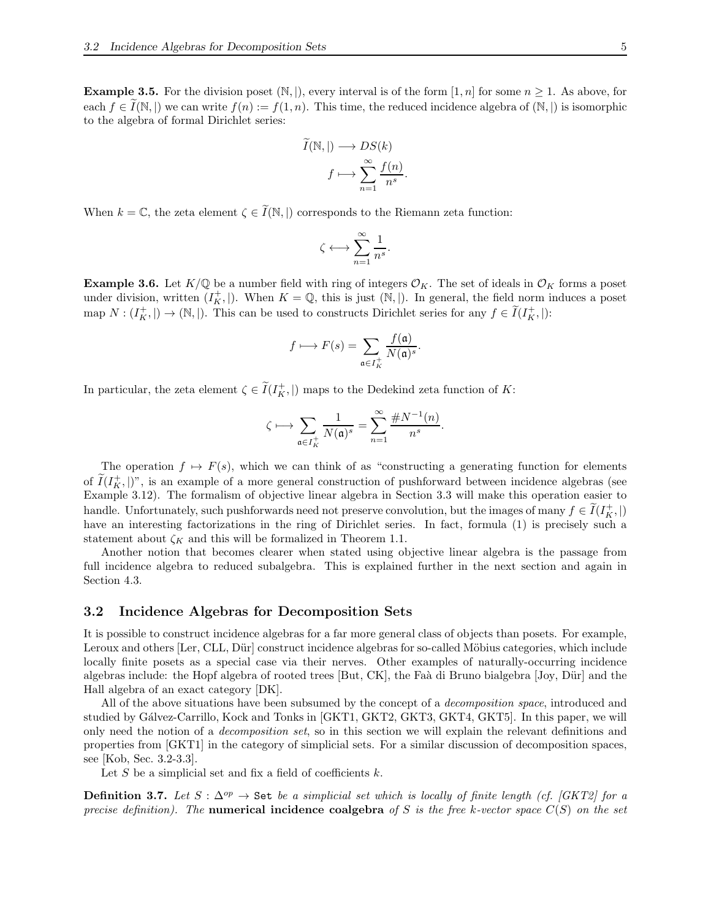<span id="page-4-0"></span>**Example 3.5.** For the division poset  $(\mathbb{N}, |)$ , every interval is of the form  $[1, n]$  for some  $n \geq 1$ . As above, for each  $f \in I(\mathbb{N}, \mathbb{N})$  we can write  $f(n) := f(1, n)$ . This time, the reduced incidence algebra of  $(\mathbb{N}, \mathbb{N})$  is isomorphic to the algebra of formal Dirichlet series:

$$
I(\mathbb{N}, |) \longrightarrow DS(k)
$$

$$
f \longmapsto \sum_{n=1}^{\infty} \frac{f(n)}{n^s}
$$

.

When  $k = \mathbb{C}$ , the zeta element  $\zeta \in \widetilde{I}(\mathbb{N}, \mathbb{I})$  corresponds to the Riemann zeta function:

$$
\zeta \longleftrightarrow \sum_{n=1}^\infty \frac{1}{n^s}.
$$

<span id="page-4-1"></span>**Example 3.6.** Let  $K/\mathbb{Q}$  be a number field with ring of integers  $\mathcal{O}_K$ . The set of ideals in  $\mathcal{O}_K$  forms a poset under division, written  $(I_K^+)|$ . When  $K = \mathbb{Q}$ , this is just  $(\mathbb{N}, |)$ . In general, the field norm induces a poset map  $N: (I_K^+,\mathbb{I}) \to (\mathbb{N},\mathbb{I})$ . This can be used to constructs Dirichlet series for any  $f \in \tilde{I}(I_K^+,\mathbb{I})$ :

$$
f \longmapsto F(s) = \sum_{\mathfrak{a} \in I_K^+} \frac{f(\mathfrak{a})}{N(\mathfrak{a})^s}.
$$

In particular, the zeta element  $\zeta \in \tilde{I}(I^+_{K}, \vert)$  maps to the Dedekind zeta function of K:

$$
\zeta\longmapsto \sum_{\mathfrak{a}\in I_K^+}\frac{1}{N(\mathfrak{a})^s}=\sum_{n=1}^\infty\frac{\# N^{-1}(n)}{n^s}.
$$

The operation  $f \mapsto F(s)$ , which we can think of as "constructing a generating function for elements of  $\tilde{I}(I_K^+,\vert)$ ", is an example of a more general construction of pushforward between incidence algebras (see Example [3.12\)](#page-7-1). The formalism of objective linear algebra in Section [3.3](#page-6-0) will make this operation easier to handle. Unfortunately, such pushforwards need not preserve convolution, but the images of many  $f \in \widetilde{I}(I_K^+,\vert)$ have an interesting factorizations in the ring of Dirichlet series. In fact, formula [\(1\)](#page-0-0) is precisely such a statement about  $\zeta_K$  and this will be formalized in Theorem [1.1.](#page-0-1)

Another notion that becomes clearer when stated using objective linear algebra is the passage from full incidence algebra to reduced subalgebra. This is explained further in the next section and again in Section [4.3.](#page-20-0)

### <span id="page-4-2"></span>3.2 Incidence Algebras for Decomposition Sets

It is possible to construct incidence algebras for a far more general class of objects than posets. For example, Leroux and others [\[Ler,](#page-26-0) [CLL,](#page-25-2) Dür] construct incidence algebras for so-called Möbius categories, which include locally finite posets as a special case via their nerves. Other examples of naturally-occurring incidence algebras include: the Hopf algebra of rooted trees [\[But,](#page-25-4) [CK\]](#page-25-5), the Faà di Bruno bialgebra [\[Joy,](#page-25-6) Dür] and the Hall algebra of an exact category [\[DK\]](#page-25-7).

All of the above situations have been subsumed by the concept of a *decomposition space*, introduced and studied by Gálvez-Carrillo, Kock and Tonks in [\[GKT1,](#page-25-0) [GKT2,](#page-25-8) [GKT3,](#page-25-9) [GKT4,](#page-25-10) [GKT5\]](#page-25-11). In this paper, we will only need the notion of a *decomposition set*, so in this section we will explain the relevant definitions and properties from [\[GKT1\]](#page-25-0) in the category of simplicial sets. For a similar discussion of decomposition spaces, see [\[Kob,](#page-25-1) Sec. 3.2-3.3].

Let  $S$  be a simplicial set and fix a field of coefficients  $k$ .

**Definition 3.7.** Let  $S : \Delta^{op}$  → Set be a simplicial set which is locally of finite length (cf. *[GKT2]* for a *precise definition). The* numerical incidence coalgebra *of* S *is the free* k*-vector space* C(S) *on the set*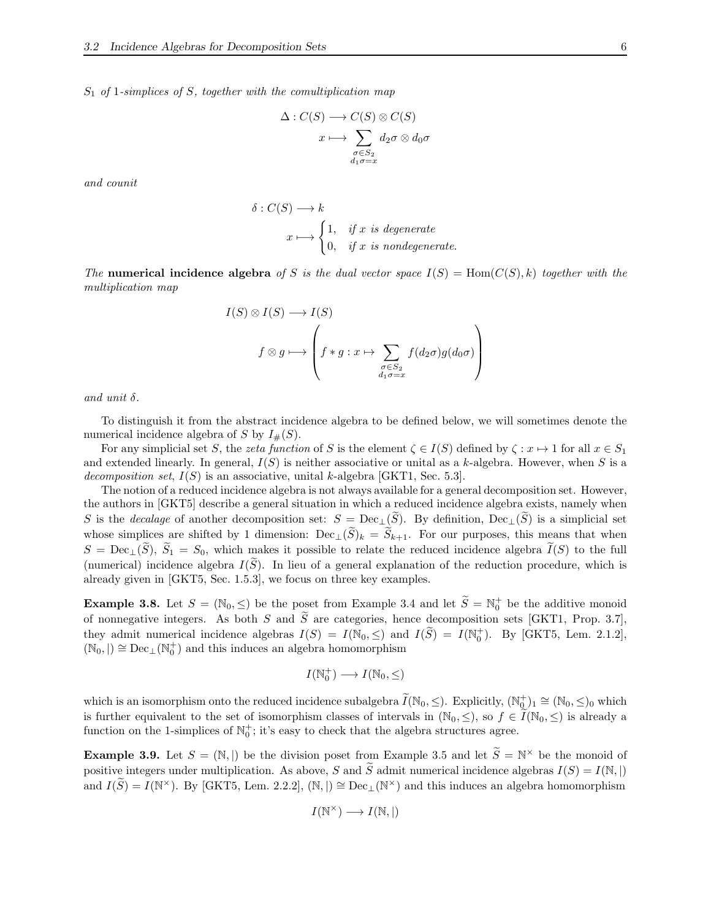S<sup>1</sup> *of* 1*-simplices of* S*, together with the comultiplication map*

$$
\Delta: C(S) \longrightarrow C(S) \otimes C(S)
$$

$$
x \longmapsto \sum_{\substack{\sigma \in S_2 \\ d_1 \sigma = x}} d_2 \sigma \otimes d_0 \sigma
$$

*and counit*

$$
\delta: C(S) \longrightarrow k
$$
  
 $x \longmapsto \begin{cases} 1, & \text{if } x \text{ is degenerate} \\ 0, & \text{if } x \text{ is nondegenerate.} \end{cases}$ 

*The* numerical incidence algebra of S is the dual vector space  $I(S) = \text{Hom}(C(S), k)$  together with the *multiplication map*

$$
I(S) \otimes I(S) \longrightarrow I(S)
$$
  

$$
f \otimes g \longmapsto \left( f * g : x \mapsto \sum_{\substack{\sigma \in S_2 \\ d_1 \sigma = x}} f(d_2 \sigma) g(d_0 \sigma) \right)
$$

*and unit* δ*.*

To distinguish it from the abstract incidence algebra to be defined below, we will sometimes denote the numerical incidence algebra of S by  $I_{\#}(S)$ .

For any simplicial set S, the *zeta function* of S is the element  $\zeta \in I(S)$  defined by  $\zeta : x \mapsto 1$  for all  $x \in S_1$ and extended linearly. In general,  $I(S)$  is neither associative or unital as a k-algebra. However, when S is a *decomposition set*, I(S) is an associative, unital k-algebra [\[GKT1,](#page-25-0) Sec. 5.3].

The notion of a reduced incidence algebra is not always available for a general decomposition set. However, the authors in [\[GKT5\]](#page-25-11) describe a general situation in which a reduced incidence algebra exists, namely when S is the *decalage* of another decomposition set:  $S = \text{Dec}_{\perp}(\tilde{S})$ . By definition,  $\text{Dec}_{\perp}(\tilde{S})$  is a simplicial set whose simplices are shifted by 1 dimension:  $\text{Dec}_{\perp}(\widetilde{S})_k = \widetilde{S}_{k+1}$ . For our purposes, this means that when  $S = \text{Dec}_{\perp}(\widetilde{S}), \widetilde{S}_1 = S_0$ , which makes it possible to relate the reduced incidence algebra  $\widetilde{I}(S)$  to the full (numerical) incidence algebra  $I(\tilde{S})$ . In lieu of a general explanation of the reduction procedure, which is already given in [\[GKT5,](#page-25-11) Sec. 1.5.3], we focus on three key examples.

**Example 3.8.** Let  $S = (\mathbb{N}_0, \leq)$  be the poset from Example [3.4](#page-3-0) and let  $\widetilde{S} = \mathbb{N}_0^+$  be the additive monoid of nonnegative integers. As both S and  $\tilde{S}$  are categories, hence decomposition sets [\[GKT1,](#page-25-0) Prop. 3.7], they admit numerical incidence algebras  $I(S) = I(\mathbb{N}_0, \leq)$  and  $I(\widetilde{S}) = I(\mathbb{N}_0^+)$ . By [\[GKT5,](#page-25-11) Lem. 2.1.2],  $(\mathbb{N}_0,|)\cong \mathrm{Dec}_{\bot}(\mathbb{N}_0^+)$  and this induces an algebra homomorphism

$$
I(\mathbb{N}_0^+) \longrightarrow I(\mathbb{N}_0, \leq)
$$

which is an isomorphism onto the reduced incidence subalgebra  $\widetilde{I}(\mathbb{N}_0, \leq)$ . Explicitly,  $(\mathbb{N}_0^+)_1 \cong (\mathbb{N}_0, \leq)_0$  which is further equivalent to the set of isomorphism classes of intervals in  $(\mathbb{N}_0, \leq)$ , so  $f \in I(\mathbb{N}_0, \leq)$  is already a function on the 1-simplices of  $\mathbb{N}_0^+$ ; it's easy to check that the algebra structures agree.

<span id="page-5-0"></span>**Example 3.9.** Let  $S = (\mathbb{N}, |)$  be the division poset from Example [3.5](#page-4-0) and let  $\hat{S} = \mathbb{N}^{\times}$  be the monoid of positive integers under multiplication. As above, S and  $\tilde{S}$  admit numerical incidence algebras  $I(S) = I(\mathbb{N}, |)$ and  $I(\widetilde{S}) = I(\mathbb{N}^{\times})$ . By [\[GKT5,](#page-25-11) Lem. 2.2.2], ( $\mathbb{N},$  |)  $\cong$  Dec<sub>⊥</sub>( $\mathbb{N}^{\times}$ ) and this induces an algebra homomorphism

$$
I(\mathbb{N}^{\times}) \longrightarrow I(\mathbb{N}, |)
$$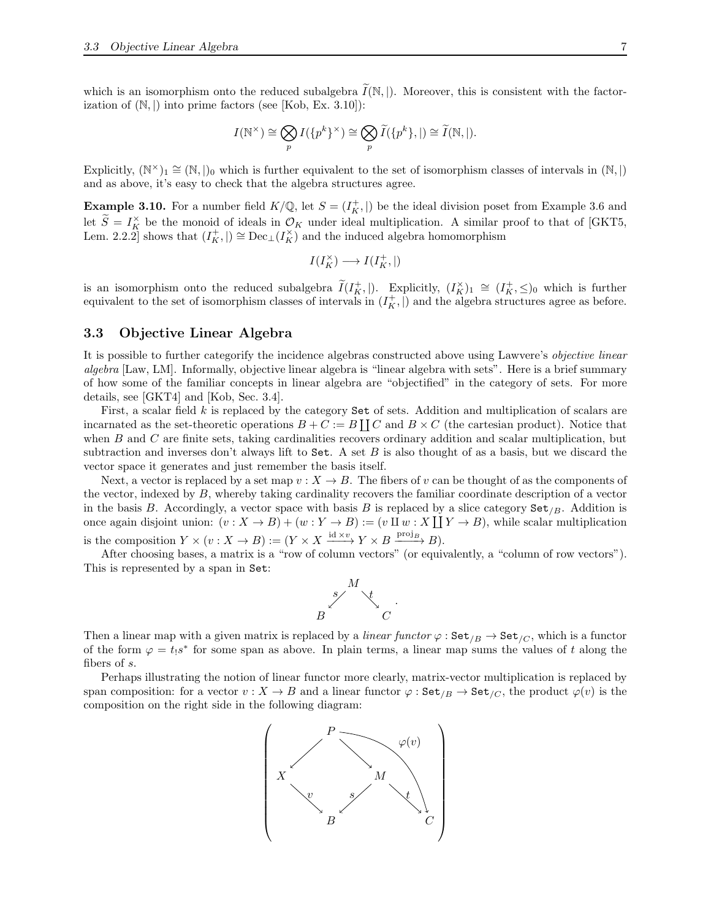which is an isomorphism onto the reduced subalgebra  $\widetilde{I}(\mathbb{N}, |)$ . Moreover, this is consistent with the factorization of  $(N, \vert)$  into prime factors (see [\[Kob,](#page-25-1) Ex. 3.10]):

$$
I(\mathbb{N}^{\times}) \cong \bigotimes_{p} I(\{p^{k}\}^{\times}) \cong \bigotimes_{p} \widetilde{I}(\{p^{k}\},\mid) \cong \widetilde{I}(\mathbb{N},\mid).
$$

Explicitly,  $(\mathbb{N}^{\times})_1 \cong (\mathbb{N}, |_{0}$  which is further equivalent to the set of isomorphism classes of intervals in  $(\mathbb{N}, |_{0})$ and as above, it's easy to check that the algebra structures agree.

<span id="page-6-1"></span>**Example 3.10.** For a number field  $K/\mathbb{Q}$ , let  $S = (I_K^+,\mathcal{V})$  be the ideal division poset from Example [3.6](#page-4-1) and let  $\widetilde{S} = I_K^{\times}$  be the monoid of ideals in  $\mathcal{O}_K$  under ideal multiplication. A similar proof to that of [\[GKT5,](#page-25-11) Lem. 2.2.2] shows that  $(I_K^+,\mathcal{I}) \cong \text{Dec}_{\mathcal{I}}(I_K^{\times})$  and the induced algebra homomorphism

$$
I(I_K^\times)\longrightarrow I(I_K^+,\vert)
$$

is an isomorphism onto the reduced subalgebra  $\widetilde{I}(I_K^+|\)$ . Explicitly,  $(I_K^{\times})_1 \cong (I_K^+,\leq)_0$  which is further equivalent to the set of isomorphism classes of intervals in  $(I_K^+, \parallel)$  and the algebra structures agree as before.

### <span id="page-6-0"></span>3.3 Objective Linear Algebra

It is possible to further categorify the incidence algebras constructed above using Lawvere's *objective linear algebra* [\[Law,](#page-25-12) [LM\]](#page-26-1). Informally, objective linear algebra is "linear algebra with sets". Here is a brief summary of how some of the familiar concepts in linear algebra are "objectified" in the category of sets. For more details, see [\[GKT4\]](#page-25-10) and [\[Kob,](#page-25-1) Sec. 3.4].

First, a scalar field k is replaced by the category Set of sets. Addition and multiplication of scalars are incarnated as the set-theoretic operations  $B + C := B \coprod C$  and  $B \times C$  (the cartesian product). Notice that when B and C are finite sets, taking cardinalities recovers ordinary addition and scalar multiplication, but subtraction and inverses don't always lift to  $Set$ . A set  $B$  is also thought of as a basis, but we discard the vector space it generates and just remember the basis itself.

Next, a vector is replaced by a set map  $v : X \to B$ . The fibers of v can be thought of as the components of the vector, indexed by B, whereby taking cardinality recovers the familiar coordinate description of a vector in the basis B. Accordingly, a vector space with basis B is replaced by a slice category  $Set_B$ . Addition is once again disjoint union:  $(v: X \to B) + (w: Y \to B) := (v \amalg w : X \coprod Y \to B)$ , while scalar multiplication is the composition  $Y \times (v : X \to B) := (Y \times X \xrightarrow{\text{id} \times v} Y \times B \xrightarrow{\text{proj}_B} B).$ 

After choosing bases, a matrix is a "row of column vectors" (or equivalently, a "column of row vectors"). This is represented by a span in Set:



Then a linear map with a given matrix is replaced by a *linear functor*  $\varphi$ : Set<sub>/B</sub>  $\rightarrow$  Set<sub>/C</sub>, which is a functor of the form  $\varphi = t_1 s^*$  for some span as above. In plain terms, a linear map sums the values of t along the fibers of s.

Perhaps illustrating the notion of linear functor more clearly, matrix-vector multiplication is replaced by span composition: for a vector  $v : X \to B$  and a linear functor  $\varphi : \text{Set}_{B} \to \text{Set}_{C}$ , the product  $\varphi(v)$  is the composition on the right side in the following diagram:

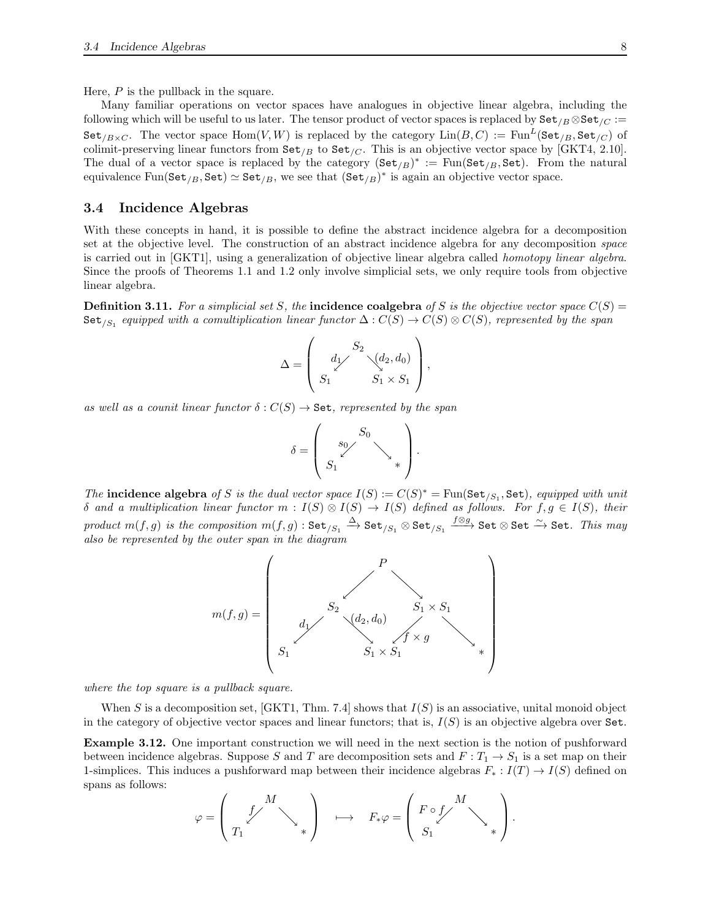Here, P is the pullback in the square.

Many familiar operations on vector spaces have analogues in objective linear algebra, including the following which will be useful to us later. The tensor product of vector spaces is replaced by  $\texttt{Set}_{B} \otimes \texttt{Set}_{C} :=$  $\texttt{Set}_{/B \times C}$ . The vector space  $\text{Hom}(V, W)$  is replaced by the category  $\text{Lin}(B, C) := \text{Fun}^L(\texttt{Set}_{/B}, \texttt{Set}_{/C})$  of colimit-preserving linear functors from  $\text{Set}_{B}$  to  $\text{Set}_{C}$ . This is an objective vector space by [\[GKT4,](#page-25-10) 2.10]. The dual of a vector space is replaced by the category  $(\text{Set}_{/B})^* := \text{Fun}(\text{Set}_{/B}, \text{Set})$ . From the natural equivalence  $\text{Fun}(\texttt{Set}_{/B}, \texttt{Set}) \simeq \texttt{Set}_{/B}$ , we see that  $(\texttt{Set}_{/B})^*$  is again an objective vector space.

### <span id="page-7-0"></span>3.4 Incidence Algebras

With these concepts in hand, it is possible to define the abstract incidence algebra for a decomposition set at the objective level. The construction of an abstract incidence algebra for any decomposition *space* is carried out in [\[GKT1\]](#page-25-0), using a generalization of objective linear algebra called *homotopy linear algebra*. Since the proofs of Theorems [1.1](#page-0-1) and [1.2](#page-0-2) only involve simplicial sets, we only require tools from objective linear algebra.

**Definition 3.11.** For a simplicial set S, the **incidence coalgebra** of S is the objective vector space  $C(S)$  =  $\texttt{Set}_{/S_1}$  equipped with a comultiplication linear functor  $\Delta: C(S) \to C(S) \otimes C(S)$ , represented by the span

$$
\Delta = \begin{pmatrix} S_2 \\ d_1 \end{pmatrix} \begin{pmatrix} S_2 \\ \vdots \\ S_1 \end{pmatrix},
$$

*as well as a counit linear functor*  $\delta: C(S) \to \mathbf{Set}$ , represented by the span

$$
\delta = \left(\begin{array}{c} S_0 \\ s_0 \end{array}\right)_*
$$

*The* incidence algebra of S is the dual vector space  $I(S) := C(S)^* = \text{Fun}(\text{Set}_{S_1}, \text{Set})$ , equipped with unit  $\delta$  *and a multiplication linear functor*  $m : I(S) \otimes I(S) \to I(S)$  *defined as follows. For*  $f, g \in I(S)$ *, their*  $\mathit{product} \,\, m(f,g) \,\, \mathit{is} \,\, the \,\, composition \,\, m(f,g) : \mathsf{Set}_{/S_1} \xrightarrow{\Delta} \mathsf{Set}_{/S_1} \otimes \mathsf{Set}_{/S_1} \xrightarrow{f \otimes g} \mathsf{Set} \otimes \mathsf{Set} \xrightarrow{\sim} \mathsf{Set}. \,\, \mathit{This} \,\, may$ *also be represented by the outer span in the diagram*



*where the top square is a pullback square.*

When S is a decomposition set, [\[GKT1,](#page-25-0) Thm. 7.4] shows that  $I(S)$  is an associative, unital monoid object in the category of objective vector spaces and linear functors; that is,  $I(S)$  is an objective algebra over Set.

<span id="page-7-1"></span>Example 3.12. One important construction we will need in the next section is the notion of pushforward between incidence algebras. Suppose S and T are decomposition sets and  $F: T_1 \to S_1$  is a set map on their 1-simplices. This induces a pushforward map between their incidence algebras  $F_* : I(T) \to I(S)$  defined on spans as follows:

$$
\varphi = \left(\begin{array}{ccc} & M & \\ & \swarrow & \\ T_1 & & \end{array}\right) \quad \longmapsto \quad F_*\varphi = \left(\begin{array}{ccc} F\circ f & M & \\ & \searrow & \\ S_1 & & \end{array}\right).
$$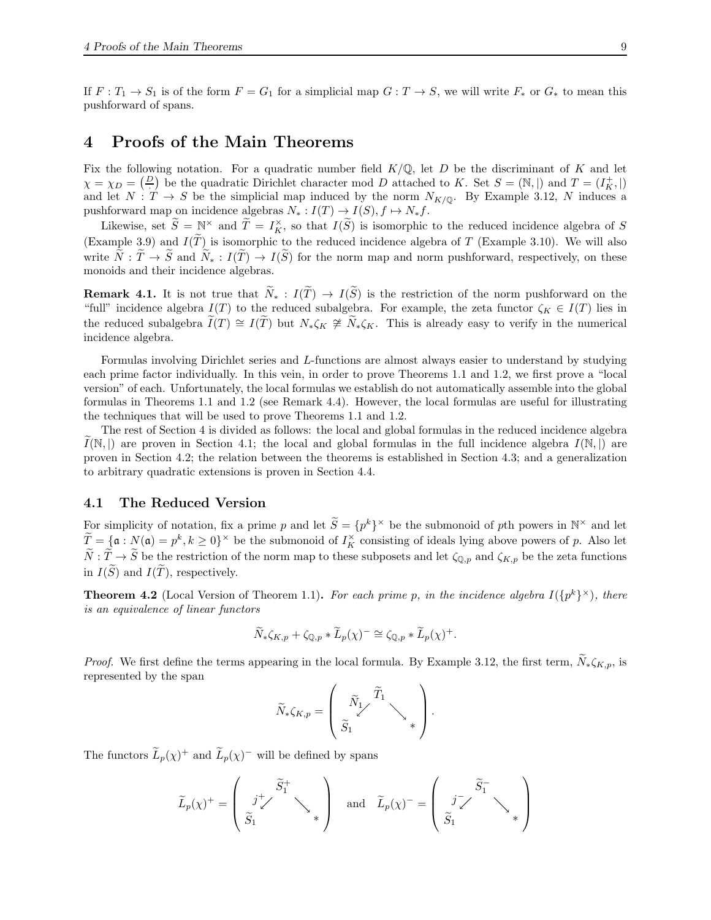If  $F: T_1 \to S_1$  is of the form  $F = G_1$  for a simplicial map  $G: T \to S$ , we will write  $F_*$  or  $G_*$  to mean this pushforward of spans.

# <span id="page-8-0"></span>4 Proofs of the Main Theorems

Fix the following notation. For a quadratic number field  $K/\mathbb{Q}$ , let D be the discriminant of K and let  $\chi = \chi_D = \left(\frac{D}{r}\right)$  be the quadratic Dirichlet character mod D attached to K. Set  $S = (\mathbb{N}, |)$  and  $T = (I_K^+ , |)$ and let  $N: T \to S$  be the simplicial map induced by the norm  $N_{K/\mathbb{Q}}$ . By Example [3.12,](#page-7-1) N induces a pushforward map on incidence algebras  $N_* : I(T) \to I(S), f \mapsto N_* f$ .

Likewise, set  $\widetilde{S} = \mathbb{N}^\times$  and  $\widetilde{T} = I_K^\times$ , so that  $I(\widetilde{S})$  is isomorphic to the reduced incidence algebra of S (Example [3.9\)](#page-5-0) and  $I(\tilde{T})$  is isomorphic to the reduced incidence algebra of T (Example [3.10\)](#page-6-1). We will also write  $\tilde{N}$ :  $\tilde{T} \to \tilde{S}$  and  $\tilde{N}_{*}$ :  $I(\tilde{T}) \to I(\tilde{S})$  for the norm map and norm pushforward, respectively, on these monoids and their incidence algebras.

**Remark 4.1.** It is not true that  $\tilde{N}_* : I(\tilde{T}) \to I(\tilde{S})$  is the restriction of the norm pushforward on the "full" incidence algebra  $I(T)$  to the reduced subalgebra. For example, the zeta functor  $\zeta_K \in I(T)$  lies in the reduced subalgebra  $\tilde{I}(T) \cong I(T)$  but  $N_*\zeta_K \ncong \tilde{N}_*\zeta_K$ . This is already easy to verify in the numerical incidence algebra.

Formulas involving Dirichlet series and L-functions are almost always easier to understand by studying each prime factor individually. In this vein, in order to prove Theorems [1.1](#page-0-1) and [1.2,](#page-0-2) we first prove a "local version" of each. Unfortunately, the local formulas we establish do not automatically assemble into the global formulas in Theorems [1.1](#page-0-1) and [1.2](#page-0-2) (see Remark [4.4\)](#page-11-1). However, the local formulas are useful for illustrating the techniques that will be used to prove Theorems [1.1](#page-0-1) and [1.2.](#page-0-2)

The rest of Section [4](#page-8-0) is divided as follows: the local and global formulas in the reduced incidence algebra  $I(\mathbb{N},)$  are proven in Section [4.1;](#page-8-1) the local and global formulas in the full incidence algebra  $I(\mathbb{N},)$  are proven in Section [4.2;](#page-14-0) the relation between the theorems is established in Section [4.3;](#page-20-0) and a generalization to arbitrary quadratic extensions is proven in Section [4.4.](#page-22-0)

### <span id="page-8-1"></span>4.1 The Reduced Version

For simplicity of notation, fix a prime p and let  $\widetilde{S} = \{p^k\}^\times$  be the submonoid of pth powers in  $\mathbb{N}^\times$  and let  $\widetilde{T} = \{ \mathfrak{a} : N(\mathfrak{a}) = p^k, k \geq 0 \}^{\times}$  be the submonoid of  $I_K^{\times}$  consisting of ideals lying above powers of p. Also let  $\widetilde{N}: \widetilde{T} \to \widetilde{S}$  be the restriction of the norm map to these subposets and let  $\zeta_{\mathbb{Q},p}$  and  $\zeta_{K,p}$  be the zeta functions in  $I(\widetilde{S})$  and  $I(\widetilde{T})$ , respectively.

<span id="page-8-2"></span>**Theorem 4.2** (Local Version of Theorem [1.1\)](#page-0-1). For each prime p, in the incidence algebra  $I(\{p^k\}^{\times})$ , there *is an equivalence of linear functors*

$$
\widetilde{N}_*\zeta_{K,p} + \zeta_{\mathbb{Q},p} * \widetilde{L}_p(\chi)^- \cong \zeta_{\mathbb{Q},p} * \widetilde{L}_p(\chi)^+.
$$

*Proof.* We first define the terms appearing in the local formula. By Example [3.12,](#page-7-1) the first term,  $\widetilde{N}_*\zeta_{K,p}$ , is represented by the span

$$
\widetilde{N}_*\zeta_{K,p}=\left(\begin{array}{c}\widetilde{N}_1\boldsymbol{\mathcal{I}}_1\\ \widetilde{S}_1\end{array}\right).
$$

The functors  $\widetilde{L}_p(\chi)^+$  and  $\widetilde{L}_p(\chi)^-$  will be defined by spans

$$
\widetilde{L}_p(\chi)^{+} = \begin{pmatrix} j_{\swarrow}^{+} \\ \widetilde{S}_1 & \searrow \\ \widetilde{S}_1 & \end{pmatrix} \quad \text{and} \quad \widetilde{L}_p(\chi)^{-} = \begin{pmatrix} \widetilde{S}_1^{-} \\ \widetilde{S}_1 & \searrow \\ \widetilde{S}_1 & \searrow \\ \end{pmatrix}
$$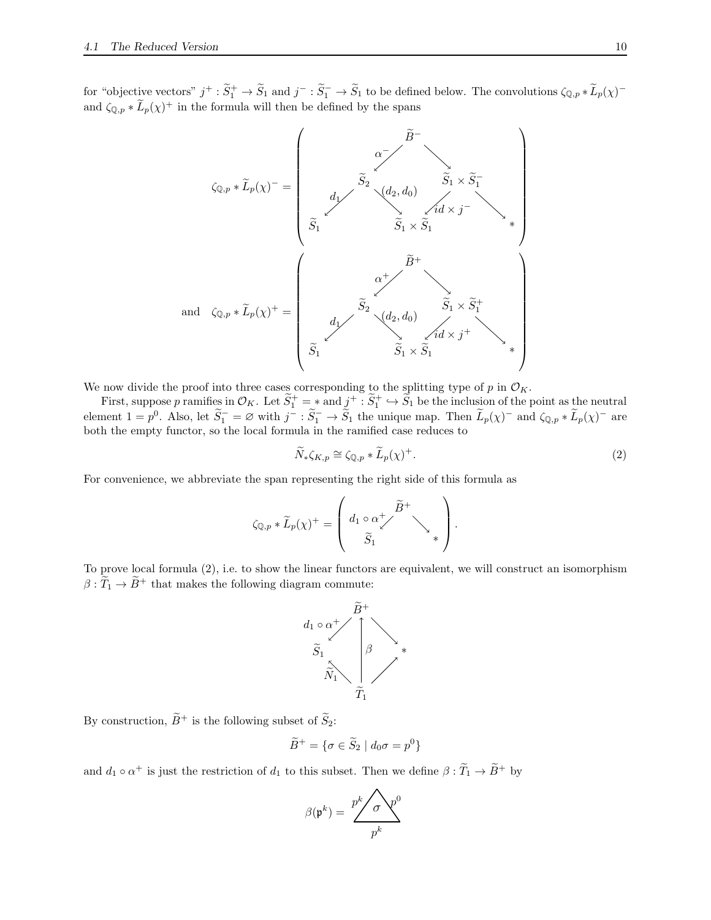for "objective vectors"  $j^+ : \widetilde{S}_1^+ \to \widetilde{S}_1$  and  $j^- : \widetilde{S}_1^- \to \widetilde{S}_1$  to be defined below. The convolutions  $\zeta_{\mathbb{Q},p} * \widetilde{L}_p(\chi)^$ and  $\zeta_{\mathbb{Q},p} * \tilde{L}_p(\chi)^+$  in the formula will then be defined by the spans



We now divide the proof into three cases corresponding to the splitting type of  $p$  in  $\mathcal{O}_K$ .

First, suppose p ramifies in  $\mathcal{O}_K$ . Let  $\widetilde{S}_1^+ = *$  and  $\underline{j}^+ : \widetilde{S}_1^+ \hookrightarrow \widetilde{S}_1$  be the inclusion of the point as the neutral element  $1 = p^0$ . Also, let  $\widetilde{S}_1^- = \varnothing$  with  $j^- : \widetilde{S}_1^- \to \widetilde{S}_1$  the unique map. Then  $\widetilde{L}_p(\chi)^-$  and  $\zeta_{\mathbb{Q},p} * \widetilde{L}_p(\chi)^-$  are both the empty functor, so the local formula in the ramified case reduces to

<span id="page-9-0"></span>
$$
\widetilde{N}_*\zeta_{K,p} \cong \zeta_{\mathbb{Q},p} * \widetilde{L}_p(\chi)^+.
$$
\n(2)

For convenience, we abbreviate the span representing the right side of this formula as

$$
\zeta_{\mathbb{Q},p} * \widetilde{L}_p(\chi)^+ = \left( \begin{array}{c} d_1 \circ \alpha^+ \nearrow \widetilde{B}^+ \\ \widetilde{S}_1 \end{array} \right) .
$$

To prove local formula [\(2\)](#page-9-0), i.e. to show the linear functors are equivalent, we will construct an isomorphism  $\beta : \widetilde{T}_1 \to \widetilde{B}^+$  that makes the following diagram commute:



By construction,  $\widetilde{B}^+$  is the following subset of  $\widetilde{S}_2$ :

$$
\widetilde{B}^+ = \{ \sigma \in \widetilde{S}_2 \mid d_0 \sigma = p^0 \}
$$

and  $d_1 \circ \alpha^+$  is just the restriction of  $d_1$  to this subset. Then we define  $\beta : \widetilde{T}_1 \to \widetilde{B}^+$  by

$$
\beta(\mathfrak{p}^k) = \frac{p^k / \sigma \mathfrak{p}^0}{p^k}
$$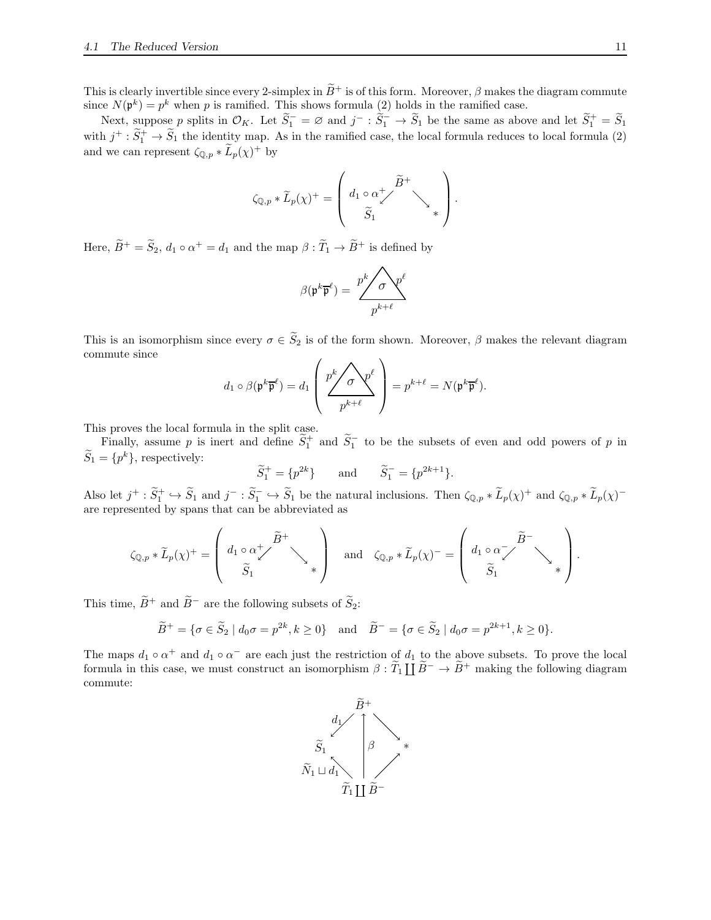This is clearly invertible since every 2-simplex in  $\widetilde{B}^+$  is of this form. Moreover,  $\beta$  makes the diagram commute since  $N(\mathfrak{p}^k) = p^k$  when p is ramified. This shows formula [\(2\)](#page-9-0) holds in the ramified case.

Next, suppose p splits in  $\mathcal{O}_K$ . Let  $\widetilde{S}_1^- = \varnothing$  and  $j^- : \widetilde{S}_1^- \to \widetilde{S}_1$  be the same as above and let  $\widetilde{S}_1^+ = \widetilde{S}_1$ with  $j^+ : \widetilde{S}_1^+ \to \widetilde{S}_1$  the identity map. As in the ramified case, the local formula reduces to local formula [\(2\)](#page-9-0) and we can represent  $\zeta_{\mathbb{Q},p} * L_p(\chi)^+$  by

$$
\zeta_{\mathbb{Q},p} * \widetilde{L}_p(\chi)^{+} = \left( \begin{array}{c} d_1 \circ \alpha \swarrow \\ \widetilde{S}_1 \end{array} \right) \times \left( \begin{array}{c} \widetilde{B}^+ \\ \\ \ast \end{array} \right).
$$

Here,  $\overline{B}^+ = \overline{S}_2$ ,  $d_1 \circ \alpha^+ = d_1$  and the map  $\beta : \overline{T}_1 \to \overline{B}^+$  is defined by

$$
\beta(\mathfrak{p}^k \overline{\mathfrak{p}}^{\ell}) = \frac{p^k / \sigma \mathfrak{p}^{\ell}}{p^{k+\ell}}
$$

This is an isomorphism since every  $\sigma \in \widetilde{S}_2$  is of the form shown. Moreover,  $\beta$  makes the relevant diagram commute since

$$
d_1 \circ \beta(\mathfrak{p}^k \overline{\mathfrak{p}}^{\ell}) = d_1 \left( \frac{p^k \sqrt{\sigma} \mathfrak{p}^{\ell}}{p^{k+\ell}} \right) = p^{k+\ell} = N(\mathfrak{p}^k \overline{\mathfrak{p}}^{\ell}).
$$

This proves the local formula in the split case.

Finally, assume p is inert and define  $S_1^+$  and  $S_1^-$  to be the subsets of even and odd powers of p in  $S_1 = \{p^k\}$ , respectively:

$$
\widetilde{S}_1^+ = \{p^{2k}\}\
$$
 and  $\widetilde{S}_1^- = \{p^{2k+1}\}.$ 

Also let  $j^+ : \widetilde{S}_1^+ \hookrightarrow \widetilde{S}_1$  and  $j^- : \widetilde{S}_1^- \hookrightarrow \widetilde{S}_1$  be the natural inclusions. Then  $\zeta_{\mathbb{Q},p} * \widetilde{L}_p(\chi)^+$  and  $\zeta_{\mathbb{Q},p} * \widetilde{L}_p(\chi)^$ are represented by spans that can be abbreviated as

$$
\zeta_{\mathbb{Q},p} * \widetilde{L}_p(\chi)^{+} = \left( d_1 \circ \alpha_{\chi}^{+} \widetilde{B}^{+} \searrow \right) \quad \text{and} \quad \zeta_{\mathbb{Q},p} * \widetilde{L}_p(\chi)^{-} = \left( d_1 \circ \alpha_{\chi}^{-} \widetilde{B}^{-} \searrow \right) \left( d_1 \circ \alpha_{\chi}^{-} \right).
$$

This time,  $\widetilde{B}^+$  and  $\widetilde{B}^-$  are the following subsets of  $\widetilde{S}_2$ :

$$
\widetilde{B}^+ = \{ \sigma \in \widetilde{S}_2 \mid d_0 \sigma = p^{2k}, k \ge 0 \}
$$
 and  $\widetilde{B}^- = \{ \sigma \in \widetilde{S}_2 \mid d_0 \sigma = p^{2k+1}, k \ge 0 \}.$ 

The maps  $d_1 \circ \alpha^+$  and  $d_1 \circ \alpha^-$  are each just the restriction of  $d_1$  to the above subsets. To prove the local formula in this case, we must construct an isomorphism  $\beta : \tilde{T}_1 \coprod \tilde{B}^- \to \tilde{B}^+$  making the following diagram commute:

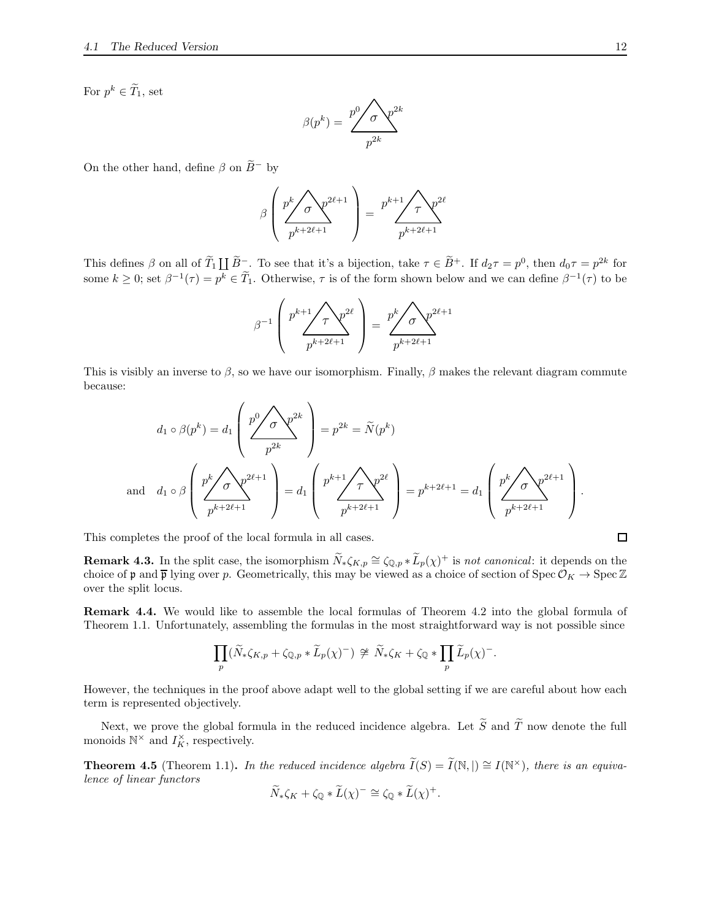For  $p^k \in T_1$ , set

$$
\beta(p^k) = \frac{p^0 \sqrt{\sigma} \sqrt{p^{2k}}}{p^{2k}}
$$

On the other hand, define  $\beta$  on  $\widetilde{B}^-$  by

$$
\beta \left( \frac{p^k \sqrt{\sigma} \sqrt{p^{2\ell+1}}}{p^{k+2\ell+1}} \right) = \frac{p^{k+1} \sqrt{\tau} \sqrt{p^{2\ell}}}{p^{k+2\ell+1}}
$$

This defines  $\beta$  on all of  $\widetilde{T}_1 \coprod \widetilde{B}^-$ . To see that it's a bijection, take  $\tau \in \widetilde{B}^+$ . If  $d_2\tau = p^0$ , then  $d_0\tau = p^{2k}$  for some  $k \geq 0$ ; set  $\beta^{-1}(\tau) = p^k \in \overline{T}_1$ . Otherwise,  $\tau$  is of the form shown below and we can define  $\beta^{-1}(\tau)$  to be

$$
\beta^{-1}\left(\frac{p^{k+1}\sqrt{\tau}\gamma^{2\ell}}{p^{k+2\ell+1}}\right) = \frac{p^k\sqrt{\sigma}\gamma^{2\ell+1}}{p^{k+2\ell+1}}
$$

This is visibly an inverse to  $\beta$ , so we have our isomorphism. Finally,  $\beta$  makes the relevant diagram commute because:

$$
d_1 \circ \beta(p^k) = d_1 \left( \frac{p^0}{p^{2k}} \right)^{2k} = p^{2k} = \widetilde{N}(p^k)
$$
  
and 
$$
d_1 \circ \beta \left( \frac{p^k}{p^{k+2\ell+1}} \right)^{2\ell+1} = d_1 \left( \frac{p^{k+1}}{p^{k+2\ell+1}} \right)^{2\ell} = p^{k+2\ell+1} = d_1 \left( \frac{p^k}{p^{k+2\ell+1}} \right)^{2\ell+1}.
$$

This completes the proof of the local formula in all cases.

<span id="page-11-2"></span>**Remark 4.3.** In the split case, the isomorphism  $\widetilde{N}_*\zeta_{K,p} \cong \zeta_{\mathbb{Q},p} * \widetilde{L}_p(\chi)^+$  is *not canonical*: it depends on the choice of p and  $\overline{p}$  lying over p. Geometrically, this may be viewed as a choice of section of Spec  $\mathcal{O}_K \to \text{Spec } \mathbb{Z}$ over the split locus.

<span id="page-11-1"></span>Remark 4.4. We would like to assemble the local formulas of Theorem [4.2](#page-8-2) into the global formula of Theorem [1.1.](#page-0-1) Unfortunately, assembling the formulas in the most straightforward way is not possible since

$$
\prod_p (\widetilde{N}_*\zeta_{K,p} + \zeta_{\mathbb{Q},p} * \widetilde{L}_p(\chi)^-) \not\cong \widetilde{N}_*\zeta_K + \zeta_{\mathbb{Q}} * \prod_p \widetilde{L}_p(\chi)^-.
$$

However, the techniques in the proof above adapt well to the global setting if we are careful about how each term is represented objectively.

Next, we prove the global formula in the reduced incidence algebra. Let  $\tilde{S}$  and  $\tilde{T}$  now denote the full monoids  $\mathbb{N}^{\times}$  and  $I_K^{\times}$ , respectively.

<span id="page-11-0"></span>**Theorem 4.5** (Theorem [1.1\)](#page-0-1). In the reduced incidence algebra  $\widetilde{I}(S) = \widetilde{I}(\mathbb{N}, \mathbb{N}) \cong I(\mathbb{N}^{\times})$ , there is an equiva*lence of linear functors*

$$
\widetilde{N}_*\zeta_K + \zeta_{\mathbb{Q}} * \widetilde{L}(\chi)^- \cong \zeta_{\mathbb{Q}} * \widetilde{L}(\chi)^+.
$$

 $\Box$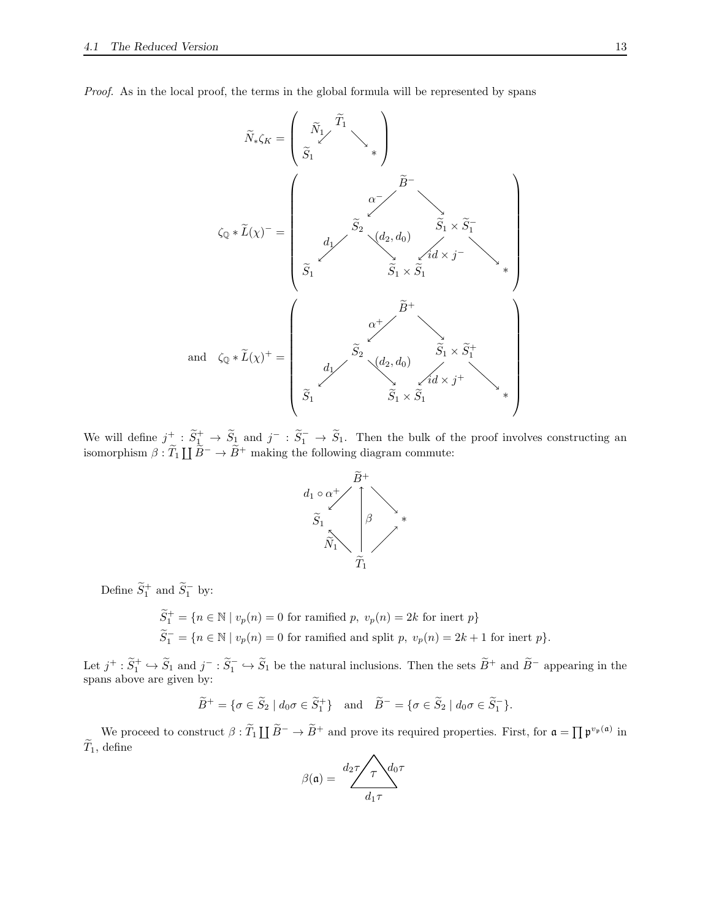*Proof.* As in the local proof, the terms in the global formula will be represented by spans



We will define  $j^+$ :  $\widetilde{S}_1^+$   $\rightarrow$   $\widetilde{S}_2$  and  $j^-$ :  $\widetilde{S}_1^ \rightarrow$   $\widetilde{S}_1$ . Then the bulk of the proof involves constructing an isomorphism  $\beta : \widetilde{T}_1 \coprod \widetilde{B}^- \to \widetilde{B}^+$  making the following diagram commute:



Define  $\widetilde{S}_1^+$  and  $\widetilde{S}_1^-$  by:

 $\widetilde{S}_1^+ = \{ n \in \mathbb{N} \mid v_p(n) = 0 \text{ for ramified } p, v_p(n) = 2k \text{ for inert } p \}$  $\widetilde{S}_1^- = \{n \in \mathbb{N} \mid v_p(n) = 0 \text{ for ramified and split } p, v_p(n) = 2k+1 \text{ for inert } p\}.$ 

Let  $j^+ : \tilde{S}_1^+ \hookrightarrow \tilde{S}_1$  and  $j^- : \tilde{S}_1^- \hookrightarrow \tilde{S}_1$  be the natural inclusions. Then the sets  $\tilde{B}^+$  and  $\tilde{B}^-$  appearing in the spans above are given by:

$$
\widetilde{B}^+ = \{ \sigma \in \widetilde{S}_2 \mid d_0 \sigma \in \widetilde{S}_1^+ \} \quad \text{and} \quad \widetilde{B}^- = \{ \sigma \in \widetilde{S}_2 \mid d_0 \sigma \in \widetilde{S}_1^- \}.
$$

We proceed to construct  $\beta : \widetilde{T}_1 \coprod \widetilde{B}^- \to \widetilde{B}^+$  and prove its required properties. First, for  $\mathfrak{a} = \prod \mathfrak{p}^{v_{\mathfrak{p}}(\mathfrak{a})}$  in  $\widetilde{T}_1$ , define  $\lambda$ 

$$
\beta(\mathfrak{a}) = \frac{d_2 \tau}{d_1 \tau} d_0 \tau
$$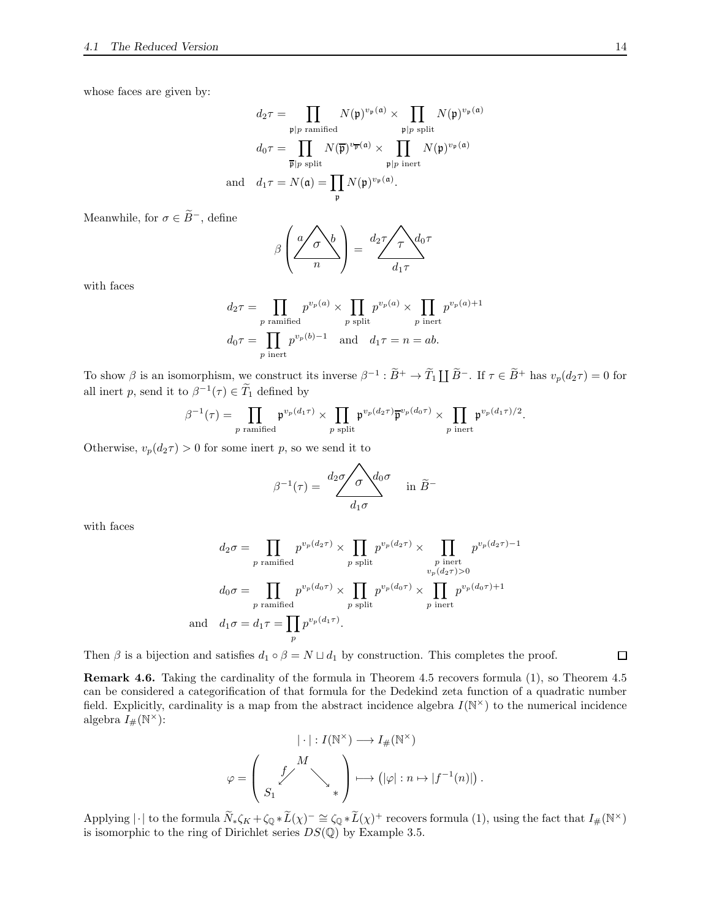whose faces are given by:

$$
d_2 \tau = \prod_{\substack{\mathfrak{p} \mid p \text{ ramified} \\ d_0 \tau = \prod_{\substack{\overline{\mathfrak{p}} \mid p \text{ split}}} N(\overline{\mathfrak{p}})^{v_{\mathfrak{p}}(\mathfrak{a})} \times \prod_{\substack{\mathfrak{p} \mid p \text{ split}}} N(\mathfrak{p})^{v_{\mathfrak{p}}(\mathfrak{a})} \\ \overline{\mathfrak{p}} \mid p \text{ split}} N(\overline{\mathfrak{p}})^{v_{\overline{\mathfrak{p}}}(\mathfrak{a})} \times \prod_{\substack{\mathfrak{p} \mid p \text{ inert} \\ \mathfrak{p} \mid p \text{ inert}}} N(\mathfrak{p})^{v_{\mathfrak{p}}(\mathfrak{a})}
$$
\nand 
$$
d_1 \tau = N(\mathfrak{a}) = \prod_{\mathfrak{p}} N(\mathfrak{p})^{v_{\mathfrak{p}}(\mathfrak{a})}.
$$

Meanwhile, for  $\sigma \in \widetilde{B}^-,$  define

$$
\beta \left( \frac{a}{n} \right)^{b} = \frac{d_2 \tau}{d_1 \tau} d_0 \tau
$$

with faces

$$
d_2\tau = \prod_{p \text{ ramified}} p^{v_p(a)} \times \prod_{p \text{ split}} p^{v_p(a)} \times \prod_{p \text{ inert}} p^{v_p(a)+1}
$$
  

$$
d_0\tau = \prod_{p \text{ inert}} p^{v_p(b)-1} \quad \text{and} \quad d_1\tau = n = ab.
$$

To show  $\beta$  is an isomorphism, we construct its inverse  $\beta^{-1} : \widetilde{B}^+ \to \widetilde{T}_1 \coprod \widetilde{B}^-$ . If  $\tau \in \widetilde{B}^+$  has  $v_p(d_2\tau) = 0$  for all inert p, send it to  $\beta^{-1}(\tau) \in \tilde{T}_1$  defined by

$$
\beta^{-1}(\tau) = \prod_{p \text{ ramified}} \mathfrak{p}^{v_p(d_1\tau)} \times \prod_{p \text{ split}} \mathfrak{p}^{v_p(d_2\tau)} \overline{\mathfrak{p}}^{v_p(d_0\tau)} \times \prod_{p \text{ inert}} \mathfrak{p}^{v_p(d_1\tau)/2}.
$$

Otherwise,  $v_p(d_2\tau) > 0$  for some inert p, so we send it to

$$
\beta^{-1}(\tau) = \frac{d_2 \sigma \sqrt{\sigma} d_0 \sigma}{d_1 \sigma} \quad \text{in } \widetilde{B}^-
$$

with faces

$$
d_2\sigma = \prod_{p \text{ ramified}} p^{v_p(d_2\tau)} \times \prod_{p \text{ split}} p^{v_p(d_2\tau)} \times \prod_{p \text{ inert}} p^{v_p(d_2\tau)-1}
$$

$$
d_0\sigma = \prod_{p \text{ ramified}} p^{v_p(d_0\tau)} \times \prod_{p \text{ split}} p^{v_p(d_0\tau)} \times \prod_{p \text{ inert}} p^{v_p(d_0\tau)+1}
$$
and 
$$
d_1\sigma = d_1\tau = \prod_p p^{v_p(d_1\tau)}.
$$

Then  $\beta$  is a bijection and satisfies  $d_1 \circ \beta = N \sqcup d_1$  by construction. This completes the proof.

<span id="page-13-0"></span>Remark 4.6. Taking the cardinality of the formula in Theorem [4.5](#page-11-0) recovers formula [\(1\)](#page-0-0), so Theorem [4.5](#page-11-0) can be considered a categorification of that formula for the Dedekind zeta function of a quadratic number field. Explicitly, cardinality is a map from the abstract incidence algebra  $I(N^{\times})$  to the numerical incidence algebra  $I_{\#}(\mathbb{N}^{\times})$ :

$$
|\cdot|: I(\mathbb{N}^{\times}) \longrightarrow I_{\#}(\mathbb{N}^{\times})
$$

$$
\varphi = \left(\begin{array}{c} f^{M} \\ S_{1} \end{array}\right) \longrightarrow (|\varphi|: n \mapsto |f^{-1}(n)|)
$$

.

Applying  $|\cdot|$  to the formula  $\widetilde{N}_*\zeta_K + \zeta_{\mathbb{Q}}*\widetilde{L}(\chi)^{-} \cong \zeta_{\mathbb{Q}}*\widetilde{L}(\chi)^{+}$  recovers formula [\(1\)](#page-0-0), using the fact that  $I_{\#}(\mathbb{N}^{\times})$ is isomorphic to the ring of Dirichlet series  $DS(\mathbb{Q})$  by Example [3.5.](#page-4-0)

 $\Box$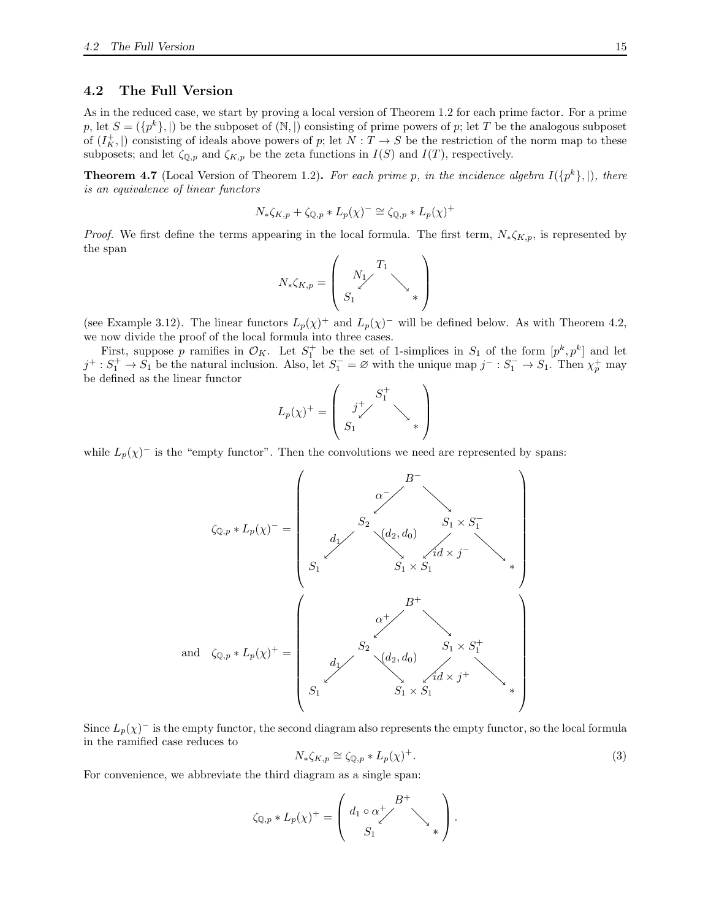### <span id="page-14-0"></span>4.2 The Full Version

As in the reduced case, we start by proving a local version of Theorem [1.2](#page-0-2) for each prime factor. For a prime p, let  $S = (\{p^k\},\)$  be the subposet of  $(\mathbb{N},\)$  consisting of prime powers of p; let T be the analogous subposet of  $(I_K^+$ ,  $|)$  consisting of ideals above powers of p; let  $N: T \to S$  be the restriction of the norm map to these subposets; and let  $\zeta_{\mathbb{Q},p}$  and  $\zeta_{K,p}$  be the zeta functions in  $I(S)$  and  $I(T)$ , respectively.

<span id="page-14-2"></span>**Theorem 4.7** (Local Version of Theorem [1.2\)](#page-0-2). For each prime p, in the incidence algebra  $I(\{p^k\},\vert)$ , there *is an equivalence of linear functors*

$$
N_{*}\zeta_{K,p} + \zeta_{\mathbb{Q},p} * L_{p}(\chi)^{-} \cong \zeta_{\mathbb{Q},p} * L_{p}(\chi)^{+}
$$

*Proof.* We first define the terms appearing in the local formula. The first term,  $N_*\zeta_{K,p}$ , is represented by the span

$$
N_*\zeta_{K,p}=\left(\begin{array}{c}N_1\\S_1\end{array}\right)_*
$$

(see Example [3.12\)](#page-7-1). The linear functors  $L_p(\chi)^+$  and  $L_p(\chi)^-$  will be defined below. As with Theorem [4.2,](#page-8-2) we now divide the proof of the local formula into three cases.

First, suppose p ramifies in  $\mathcal{O}_K$ . Let  $S_1^+$  be the set of 1-simplices in  $S_1$  of the form  $[p^k, p^k]$  and let  $j^+ : S_1^+ \to S_1$  be the natural inclusion. Also, let  $S_1^- = \varnothing$  with the unique map  $j^- : S_1^- \to S_1$ . Then  $\chi_p^+$  may be defined as the linear functor

$$
L_p(\chi)^+=\left(\begin{array}{c}S_1^+\\S_1^+\end{array}\right)_*
$$

while  $L_p(\chi)^-$  is the "empty functor". Then the convolutions we need are represented by spans:

ζ<sup>Q</sup>,p ∗ Lp(χ) <sup>−</sup> = <sup>S</sup><sup>1</sup> <sup>S</sup><sup>1</sup> <sup>×</sup> <sup>S</sup><sup>1</sup> <sup>∗</sup> S<sup>2</sup> S<sup>1</sup> × S − 1 B<sup>−</sup> α − d1 (d2, d0) id × j − and ζ<sup>Q</sup>,p ∗ Lp(χ) <sup>+</sup> = <sup>S</sup><sup>1</sup> <sup>S</sup><sup>1</sup> <sup>×</sup> <sup>S</sup><sup>1</sup> <sup>∗</sup> S<sup>2</sup> S<sup>1</sup> × S + 1 B<sup>+</sup> α + d1 (d2, d0) id × j + 

Since  $L_p(\chi)^+$  is the empty functor, the second diagram also represents the empty functor, so the local formula in the ramified case reduces to

<span id="page-14-1"></span>
$$
N_*\zeta_{K,p} \cong \zeta_{\mathbb{Q},p} * L_p(\chi)^+.
$$
\n(3)

For convenience, we abbreviate the third diagram as a single span:

$$
\zeta_{\mathbb{Q},p} * L_p(\chi)^+ = \left( \begin{array}{c} d_1 \circ \alpha^+ \nearrow \\ S_1 \end{array} \right) .
$$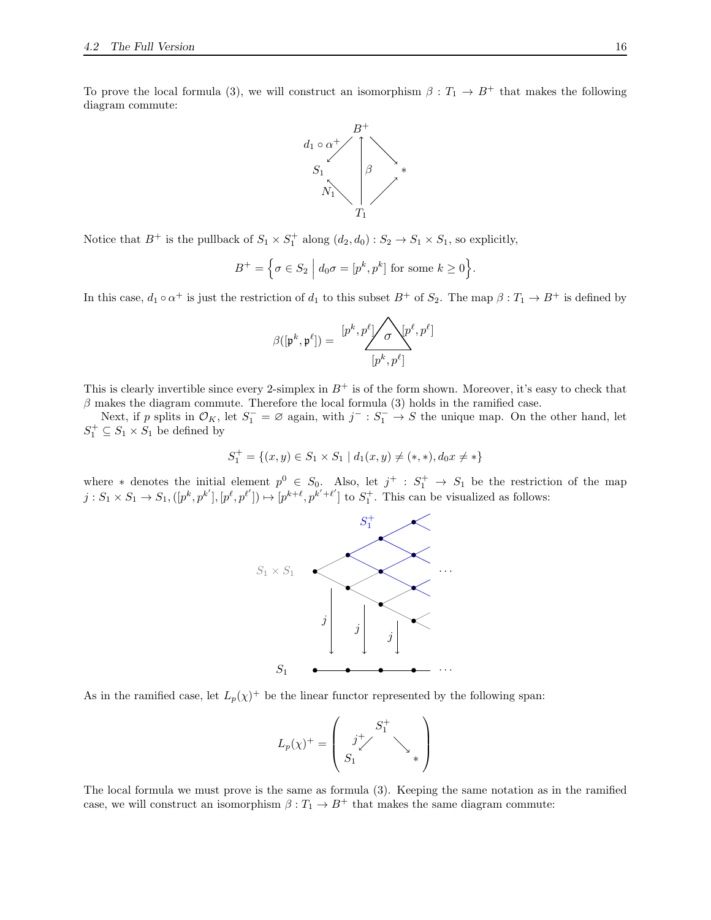To prove the local formula [\(3\)](#page-14-1), we will construct an isomorphism  $\beta : T_1 \to B^+$  that makes the following diagram commute:



Notice that  $B^+$  is the pullback of  $S_1 \times S_1^+$  along  $(d_2, d_0) : S_2 \to S_1 \times S_1$ , so explicitly,

$$
B^+ = \Big\{ \sigma \in S_2 \; \Big| \; d_0 \sigma = [p^k, p^k] \text{ for some } k \ge 0 \Big\}.
$$

In this case,  $d_1 \circ \alpha^+$  is just the restriction of  $d_1$  to this subset  $B^+$  of  $S_2$ . The map  $\beta: T_1 \to B^+$  is defined by

$$
\beta([\mathfrak{p}^k, \mathfrak{p}^\ell]) = \frac{[p^k, p^\ell] \diagup \sigma \diagdown [p^\ell, p^\ell]}{[p^k, p^\ell]}
$$

This is clearly invertible since every 2-simplex in  $B^+$  is of the form shown. Moreover, it's easy to check that  $\beta$  makes the diagram commute. Therefore the local formula [\(3\)](#page-14-1) holds in the ramified case.

Next, if p splits in  $\mathcal{O}_K$ , let  $S_1^- = \emptyset$  again, with  $j^- : S_1^- \to S$  the unique map. On the other hand, let  $S_1^+ \subseteq S_1 \times S_1$  be defined by

$$
S_1^+ = \{(x, y) \in S_1 \times S_1 \mid d_1(x, y) \neq (*, *), d_0 x \neq *\}
$$

where \* denotes the initial element  $p^0 \in S_0$ . Also, let  $j^+ : S_1^+ \to S_1$  be the restriction of the map  $j: S_1 \times S_1 \to S_1, ([p^k, p^{k'}], [p^\ell, p^{\ell'}]) \mapsto [p^{k+\ell}, p^{k'+\ell'}]$  to  $S_1^+$ . This can be visualized as follows:



As in the ramified case, let  $L_p(\chi)^+$  be the linear functor represented by the following span:

$$
L_p(\chi)^+=\left(\begin{array}{c}S^+_1\\j'_\swarrow\\S_1\end{array}\right)_*
$$

The local formula we must prove is the same as formula [\(3\)](#page-14-1). Keeping the same notation as in the ramified case, we will construct an isomorphism  $\beta: T_1 \to B^+$  that makes the same diagram commute: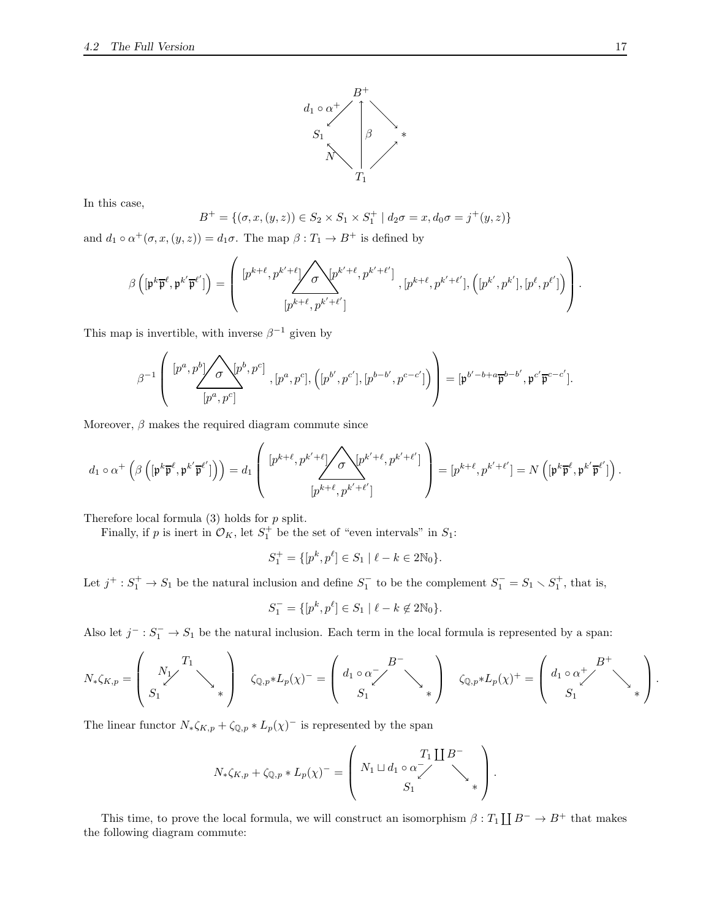

In this case,

$$
B^{+} = \{(\sigma, x, (y, z)) \in S_2 \times S_1 \times S_1^{+} \mid d_2\sigma = x, d_0\sigma = j^{+}(y, z)\}\
$$

and  $d_1 \circ \alpha^+(\sigma, x, (y, z)) = d_1 \sigma$ . The map  $\beta : T_1 \to B^+$  is defined by

$$
\beta\left([\mathfrak{p}^k\overline{\mathfrak{p}}^\ell,\mathfrak{p}^{k'}\overline{\mathfrak{p}}^{\ell'}]\right)=\left(\begin{array}{c} [p^{k+\ell},p^{k'+\ell}]\boldsymbol{\sqrt{\sigma}}\sqrt{p^{k'+\ell}},p^{k'+\ell'}] \ ,[p^{k+\ell},p^{k'+\ell'}],\left([p^{k'},p^{k'}],[p^\ell,p^{\ell'}]\right) \\ [p^{k+\ell},p^{k'+\ell'}]\end{array}\right).
$$

This map is invertible, with inverse  $\beta^{-1}$  given by

$$
\beta^{-1}\left( \begin{array}{c} [p^a,p^b] \diagup \sqrt{\sigma} \diagdown [p^b,p^c] \\ [p^a,p^c] \end{array} , [p^a,p^c], \left([p^{b'},p^{c'}], [p^{b-b'},p^{c-c'}] \right) \right) = [\mathfrak{p}^{b'-b+a}\overline{\mathfrak{p}}^{b-b'}, \mathfrak{p}^{c'}\overline{\mathfrak{p}}^{c-c'}].
$$

Moreover,  $\beta$  makes the required diagram commute since

$$
d_1 \circ \alpha^+ \left(\beta \left([\mathfrak{p}^k \overline{\mathfrak{p}}^\ell, \mathfrak{p}^{k'} \overline{\mathfrak{p}}^{\ell'}]\right)\right) = d_1 \left( \begin{array}{c} [p^{k+\ell}, p^{k'+\ell}] \sqrt{\sigma} \sqrt{p^{k'+\ell}}, p^{k'+\ell'}] \\ [p^{k+\ell}, p^{k'+\ell'}] \end{array} \right) = [p^{k+\ell}, p^{k'+\ell'}] = N \left( [\mathfrak{p}^k \overline{\mathfrak{p}}^\ell, \mathfrak{p}^{k'} \overline{\mathfrak{p}}^{\ell'}]\right).
$$

Therefore local formula  $(3)$  holds for  $p$  split.

Finally, if p is inert in  $\mathcal{O}_K$ , let  $S_1^+$  be the set of "even intervals" in  $S_1$ :

$$
S_1^+ = \{ [p^k, p^{\ell}] \in S_1 \mid \ell - k \in 2\mathbb{N}_0 \}.
$$

Let  $j^+ : S_1^+ \to S_1$  be the natural inclusion and define  $S_1^-$  to be the complement  $S_1^- = S_1 \setminus S_1^+$ , that is,

$$
S_1^- = \{ [p^k, p^{\ell}] \in S_1 \mid \ell - k \notin 2\mathbb{N}_0 \}.
$$

Also let  $j^- : S_1^- \to S_1$  be the natural inclusion. Each term in the local formula is represented by a span:

$$
N_{*}\zeta_{K,p} = \begin{pmatrix} X_{1} & X_{1} & \cdots & X_{1} \\ S_{1} & & \cdots & S_{1} \end{pmatrix} \quad \zeta_{\mathbb{Q},p} * L_{p}(\chi)^{-} = \begin{pmatrix} d_{1} \circ \alpha_{1} & B^{-} & \cdots & B^{-} \\ S_{1} & & \cdots & S_{1} \end{pmatrix} \quad \zeta_{\mathbb{Q},p} * L_{p}(\chi)^{+} = \begin{pmatrix} d_{1} \circ \alpha_{1}^{+} & B^{+} & \cdots & B_{1} \\ S_{1} & & \cdots & S_{1} \end{pmatrix}.
$$

The linear functor  $N_* \zeta_{K,p} + \zeta_{\mathbb{Q},p} * L_p(\chi)^{-1}$  is represented by the span

$$
N_{*}\zeta_{K,p} + \zeta_{\mathbb{Q},p} * L_{p}(\chi)^{-} = \left( N_{1} \sqcup d_{1} \circ \alpha \right)_{S_{1}}^{T_{1}} \bigcup B^{-}
$$

$$
S_{1} \bigg) .
$$

This time, to prove the local formula, we will construct an isomorphism  $\beta: T_1 \coprod B^- \to B^+$  that makes the following diagram commute: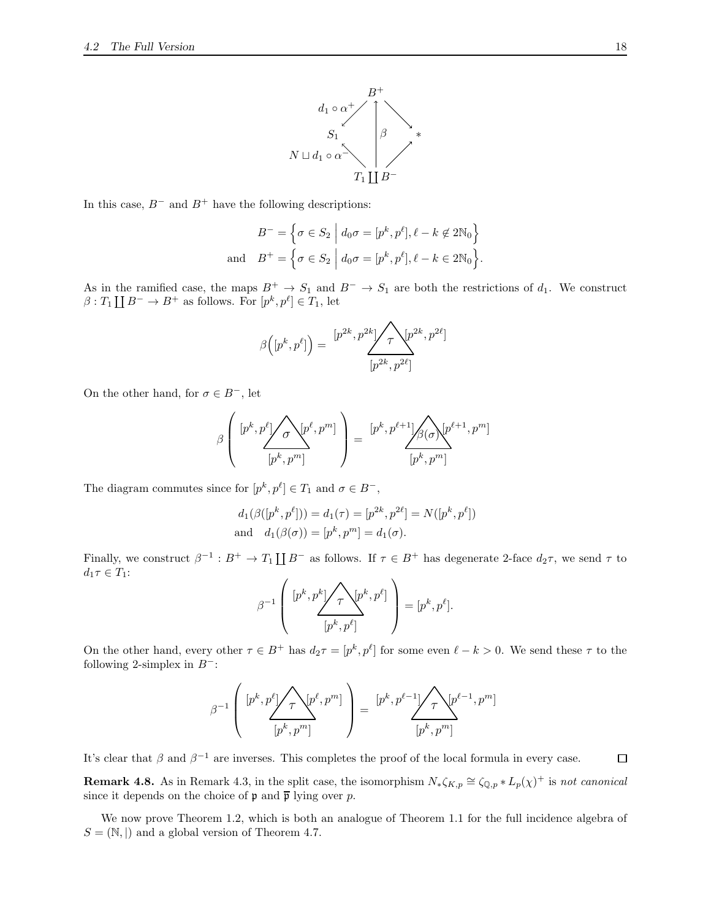

In this case,  $B^-$  and  $B^+$  have the following descriptions:

$$
B^{-} = \left\{ \sigma \in S_2 \middle| d_0 \sigma = [p^k, p^\ell], \ell - k \notin 2\mathbb{N}_0 \right\}
$$
  
and 
$$
B^{+} = \left\{ \sigma \in S_2 \middle| d_0 \sigma = [p^k, p^\ell], \ell - k \in 2\mathbb{N}_0 \right\}.
$$

As in the ramified case, the maps  $B^+ \to S_1$  and  $B^- \to S_1$  are both the restrictions of  $d_1$ . We construct  $\beta: T_1 \coprod B^- \to B^+$  as follows. For  $[p^k, p^{\ell}] \in T_1$ , let

$$
\beta([p^k, p^\ell]) = \frac{[p^{2k}, p^{2k}]}{\sqrt{\tau}} \sum_{p^{2k}, p^{2\ell}} p^{2k}
$$

]

On the other hand, for  $\sigma \in B^-$ , let

$$
\beta\left(\begin{array}{c} [p^k,p^\ell] \diagup{\frown} [p^\ell,p^m] \\ \hline \left[p^k,p^m\right] \end{array}\right) = \frac{[p^k,p^{\ell+1}] \diagup{\frown} [p^{\ell+1},p^m]}{[p^k,p^m]}
$$

The diagram commutes since for  $[p^k, p^\ell] \in T_1$  and  $\sigma \in B^-$ ,

$$
d_1(\beta([p^k, p^\ell])) = d_1(\tau) = [p^{2k}, p^{2\ell}] = N([p^k, p^\ell])
$$
  
and 
$$
d_1(\beta(\sigma)) = [p^k, p^m] = d_1(\sigma).
$$

Finally, we construct  $\beta^{-1}: B^+ \to T_1 \coprod B^-$  as follows. If  $\tau \in B^+$  has degenerate 2-face  $d_2\tau$ , we send  $\tau$  to  $d_1\tau \in T_1$ :

$$
\beta^{-1}\left(\frac{[p^k,p^k]\sqrt{\tau}\sqrt{p^k,p^\ell]}}{[p^k,p^\ell]}\right)=[p^k,p^\ell].
$$

On the other hand, every other  $\tau \in B^+$  has  $d_2\tau = [p^k, p^\ell]$  for some even  $\ell - k > 0$ . We send these  $\tau$  to the following 2-simplex in  $B^-$ :

$$
\beta^{-1}\left( \begin{array}{c} [p^k,p^\ell] \diagup \diagdown \gamma \diagdown \left[ p^{\ell},p^m \right] \\ \left[ p^k,p^m \right] \end{array} \right) = \underbrace{[p^k,p^{\ell-1}] \diagup \diagdown \gamma \diagdown \left[ p^{\ell-1},p^m \right]}_{\left[ p^k,p^m \right]}
$$

It's clear that  $\beta$  and  $\beta^{-1}$  are inverses. This completes the proof of the local formula in every case.

**Remark 4.8.** As in Remark [4.3,](#page-11-2) in the split case, the isomorphism  $N_* \zeta_{K,p} \cong \zeta_{\mathbb{Q},p} * L_p(\chi)^+$  is *not canonical* since it depends on the choice of  $\mathfrak p$  and  $\overline{\mathfrak p}$  lying over p.

We now prove Theorem [1.2,](#page-0-2) which is both an analogue of Theorem [1.1](#page-0-1) for the full incidence algebra of  $S = (\mathbb{N}, |)$  and a global version of Theorem [4.7.](#page-14-2)

 $\Box$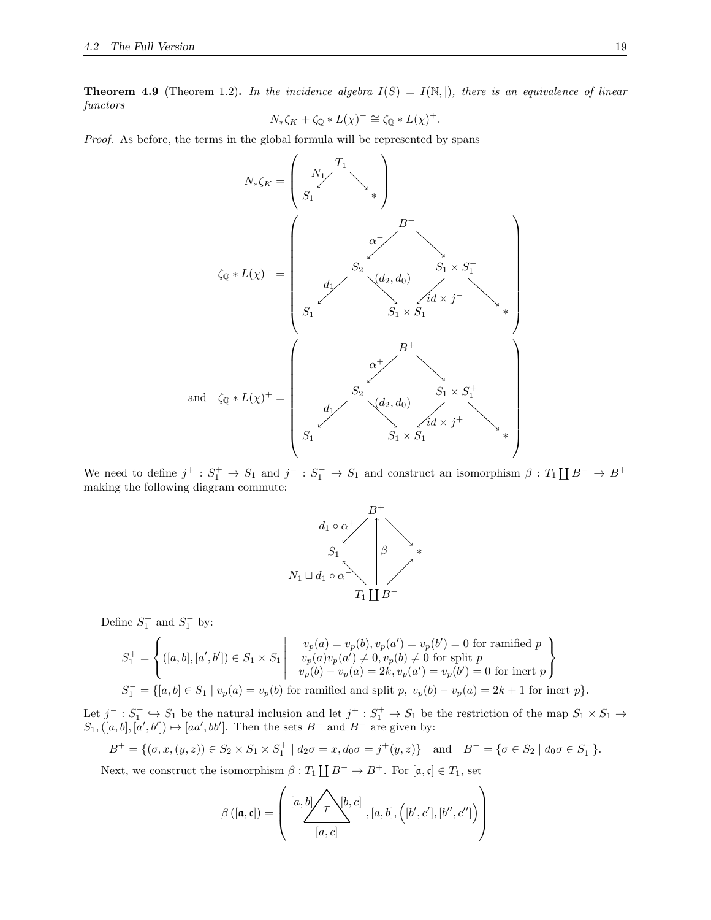<span id="page-18-0"></span>**Theorem 4.9** (Theorem [1.2\)](#page-0-2). In the incidence algebra  $I(S) = I(\mathbb{N}, \mathbb{N})$ , there is an equivalence of linear *functors*

$$
N_{*}\zeta_{K} + \zeta_{\mathbb{Q}} * L(\chi)^{-} \cong \zeta_{\mathbb{Q}} * L(\chi)^{+}.
$$

*Proof.* As before, the terms in the global formula will be represented by spans



We need to define  $j^+ : S_1^+ \to S_1$  and  $j^- : S_1^- \to S_1$  and construct an isomorphism  $\beta : T_1 \coprod B^- \to B^+$ making the following diagram commute:



Define  $S_1^+$  and  $S_1^-$  by:

$$
S_1^+ = \left\{ ([a, b], [a', b']) \in S_1 \times S_1 \left| \begin{array}{c} v_p(a) = v_p(b), v_p(a') = v_p(b') = 0 \text{ for ramified } p \\ v_p(a)v_p(a') \neq 0, v_p(b) \neq 0 \text{ for split } p \\ v_p(b) - v_p(a) = 2k, v_p(a') = v_p(b') = 0 \text{ for inert } p \end{array} \right\}
$$
  

$$
S_1^- = \{ [a, b] \in S_1 \mid v_p(a) = v_p(b) \text{ for ramified and split } p, v_p(b) - v_p(a) = 2k + 1 \text{ for inert } p \}.
$$

Let  $j^-: S_1^- \hookrightarrow S_1$  be the natural inclusion and let  $j^+: S_1^+ \to S_1$  be the restriction of the map  $S_1 \times S_1 \to$  $S_1, ([a, b], [a', b']) \mapsto [aa', bb']$ . Then the sets  $B^+$  and  $B^-$  are given by:

$$
B^+ = \{(\sigma, x, (y, z)) \in S_2 \times S_1 \times S_1^+ \mid d_2\sigma = x, d_0\sigma = j^+(y, z)\} \text{ and } B^- = \{\sigma \in S_2 \mid d_0\sigma \in S_1^-\}.
$$

Next, we construct the isomorphism  $\beta: T_1 \coprod B^- \to B^+$ . For  $[\mathfrak{a}, \mathfrak{c}] \in T_1$ , set

$$
\beta([\mathfrak{a}, \mathfrak{c}]) = \left( \frac{[a, b] \diagup \uparrow \diagdown \lbrace b, c \rbrace}{[a, c]}, [a, b], \left( [b', c'], [b'', c''] \right) \right)
$$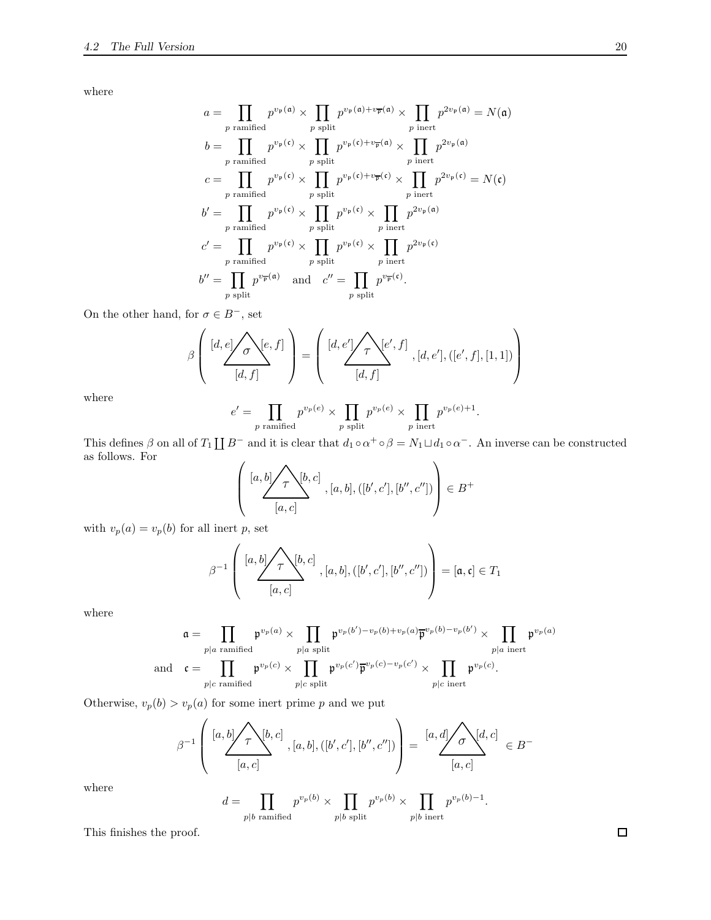where

$$
a = \prod_{p \text{ ramified}} p^{v_{\mathfrak{p}}(\mathfrak{a})} \times \prod_{p \text{ split}} p^{v_{\mathfrak{p}}(\mathfrak{a}) + v_{\overline{\mathfrak{p}}}(\mathfrak{a})} \times \prod_{p \text{ inert}} p^{2v_{\mathfrak{p}}(\mathfrak{a})} = N(\mathfrak{a})
$$
  
\n
$$
b = \prod_{p \text{ ramified}} p^{v_{\mathfrak{p}}(\mathfrak{c})} \times \prod_{p \text{ split}} p^{v_{\mathfrak{p}}(\mathfrak{c}) + v_{\overline{\mathfrak{p}}}(\mathfrak{a})} \times \prod_{p \text{ inert}} p^{2v_{\mathfrak{p}}(\mathfrak{a})}
$$
  
\n
$$
c = \prod_{p \text{ ramified}} p^{v_{\mathfrak{p}}(\mathfrak{c})} \times \prod_{p \text{ split}} p^{v_{\mathfrak{p}}(\mathfrak{c}) + v_{\overline{\mathfrak{p}}}(\mathfrak{c})} \times \prod_{p \text{ inert}} p^{2v_{\mathfrak{p}}(\mathfrak{c})} = N(\mathfrak{c})
$$
  
\n
$$
b' = \prod_{p \text{ ramified}} p^{v_{\mathfrak{p}}(\mathfrak{c})} \times \prod_{p \text{ split}} p^{v_{\mathfrak{p}}(\mathfrak{c})} \times \prod_{p \text{ inert}} p^{2v_{\mathfrak{p}}(\mathfrak{a})}
$$
  
\n
$$
c' = \prod_{p \text{ ramified}} p^{v_{\mathfrak{p}}(\mathfrak{c})} \times \prod_{p \text{ split}} p^{v_{\mathfrak{p}}(\mathfrak{c})} \times \prod_{p \text{ inert}} p^{2v_{\mathfrak{p}}(\mathfrak{c})}
$$
  
\n
$$
b'' = \prod_{p \text{ split}} p^{v_{\overline{p}}(\mathfrak{a})} \quad \text{and} \quad c'' = \prod_{p \text{ split}} p^{v_{\overline{p}}(\mathfrak{c})}.
$$

On the other hand, for  $\sigma \in B^-$ , set

β [d, e] [e, f] [d, f] σ = [d, e′ ] [e ′ , f] [d, f] <sup>τ</sup> , [d, e′ ],([e ′ , f], [1, 1]) 

where

$$
e' = \prod_{p \text{ ramified}} p^{v_p(e)} \times \prod_{p \text{ split}} p^{v_p(e)} \times \prod_{p \text{ inert}} p^{v_p(e)+1}.
$$

This defines  $\beta$  on all of  $T_1 \coprod B^-$  and it is clear that  $d_1 \circ \alpha^+ \circ \beta = N_1 \sqcup d_1 \circ \alpha^-$ . An inverse can be constructed as follows. For  $\sqrt{ }$ 

 [a, b] [b, c] [a, c] τ , [a, b],([b ′ , c′ ], [b ′′, c′′]) ∈ B +

with  $v_p(a) = v_p(b)$  for all inert p, set

$$
\beta^{-1}\left(\frac{[a,b]\sqrt{\tau^{b,c}}]}{[a,c]}, [a,b], ([b',c'], [b'',c''])\right) = [\mathfrak{a}, \mathfrak{c}] \in T_1
$$

where

$$
\mathfrak{a} = \prod_{p|a \text{ ramified}} \mathfrak{p}^{v_p(a)} \times \prod_{p|a \text{ split}} \mathfrak{p}^{v_p(b') - v_p(b) + v_p(a)} \overline{\mathfrak{p}}^{v_p(b) - v_p(b')} \times \prod_{p|a \text{ inert}} \mathfrak{p}^{v_p(a)}
$$
  
and 
$$
\mathfrak{c} = \prod_{p|c \text{ ramified}} \mathfrak{p}^{v_p(c)} \times \prod_{p|c \text{ split}} \mathfrak{p}^{v_p(c')} \overline{\mathfrak{p}}^{v_p(c) - v_p(c')} \times \prod_{p|c \text{ inert}} \mathfrak{p}^{v_p(c)}
$$

Otherwise,  $v_p(b) > v_p(a)$  for some inert prime  $p$  and we put

β −1 [a, b] [b, c] [a, c] <sup>τ</sup> , [a, b],([<sup>b</sup> ′ , c′ ], [b ′′, c′′]) = [a, d] [d, c] [a, c] <sup>σ</sup> <sup>∈</sup> <sup>B</sup> −

where

 $d = \prod$  $p|b$  ramified  $p^{v_p(b)} \times \prod$  $p|b$  split  $p^{v_p(b)} \times \prod$  $p|b$  inert  $p^{v_p(b)-1}.$ 

This finishes the proof.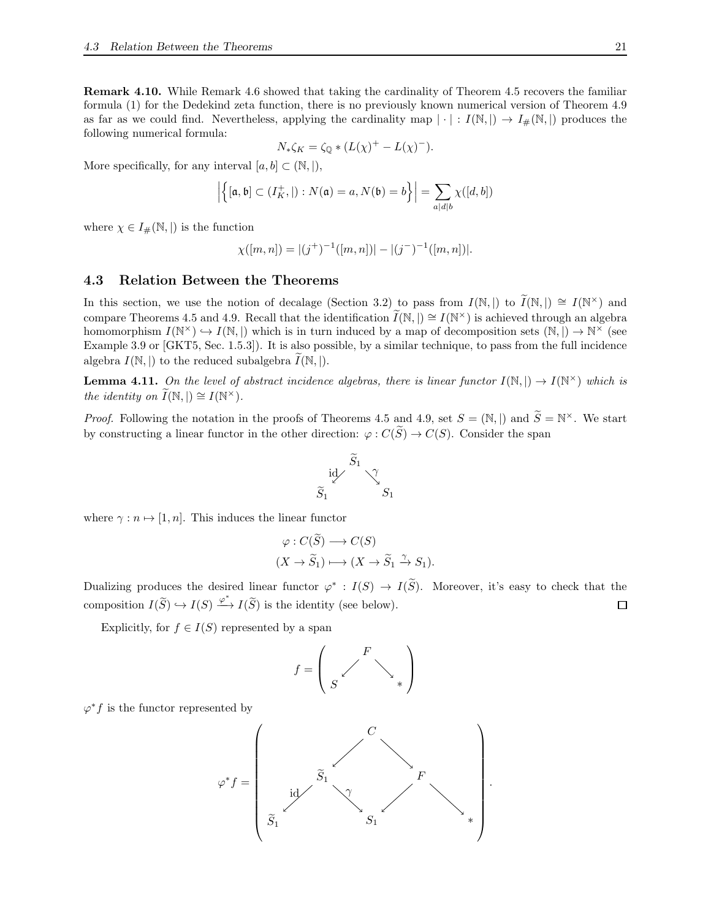<span id="page-20-1"></span>Remark 4.10. While Remark [4.6](#page-13-0) showed that taking the cardinality of Theorem [4.5](#page-11-0) recovers the familiar formula [\(1\)](#page-0-0) for the Dedekind zeta function, there is no previously known numerical version of Theorem [4.9](#page-18-0) as far as we could find. Nevertheless, applying the cardinality map  $|\cdot|: I(\mathbb{N},|) \to I_{\#}(\mathbb{N},|)$  produces the following numerical formula:

$$
N_*\zeta_K = \zeta_{\mathbb{Q}} * (L(\chi)^+ - L(\chi)^-).
$$

More specifically, for any interval  $[a, b] \subset (\mathbb{N}, |),$ 

$$
\left| \left\{ [\mathfrak{a},\mathfrak{b}] \subset (I_K^+,\vert): N(\mathfrak{a})=a, N(\mathfrak{b})=b \right\} \right| = \sum_{a|d|b} \chi([d,b])
$$

where  $\chi \in I_{\#}(\mathbb{N}, |)$  is the function

$$
\chi([m,n]) = |(j^+)^{-1}([m,n])| - |(j^-)^{-1}([m,n])|.
$$

### <span id="page-20-0"></span>4.3 Relation Between the Theorems

In this section, we use the notion of decalage (Section [3.2\)](#page-4-2) to pass from  $I(\mathbb{N}, |)$  to  $\widetilde{I}(\mathbb{N}, |) \cong I(\mathbb{N}^{\times})$  and compare Theorems [4.5](#page-11-0) and [4.9.](#page-18-0) Recall that the identification  $\tilde{I}(\mathbb{N}, |) \cong I(\mathbb{N}^{\times})$  is achieved through an algebra homomorphism  $I(\mathbb{N}^{\times}) \hookrightarrow I(\mathbb{N},)$  which is in turn induced by a map of decomposition sets  $(\mathbb{N},) \to \mathbb{N}^{\times}$  (see Example [3.9](#page-5-0) or [\[GKT5,](#page-25-11) Sec. 1.5.3]). It is also possible, by a similar technique, to pass from the full incidence algebra  $I(\mathbb{N}, |)$  to the reduced subalgebra  $I(\mathbb{N}, |)$ .

**Lemma 4.11.** On the level of abstract incidence algebras, there is linear functor  $I(\mathbb{N},) \to I(\mathbb{N}^{\times})$  which is *the identity on*  $\widetilde{I}(\mathbb{N}, |) \cong I(\mathbb{N}^{\times}).$ 

*Proof.* Following the notation in the proofs of Theorems [4.5](#page-11-0) and [4.9,](#page-18-0) set  $S = (\mathbb{N}, |)$  and  $\widetilde{S} = \mathbb{N}^{\times}$ . We start by constructing a linear functor in the other direction:  $\varphi: C(\widetilde{S}) \to C(S)$ . Consider the span



where  $\gamma : n \mapsto [1, n]$ . This induces the linear functor

$$
\varphi : C(\widetilde{S}) \longrightarrow C(S)
$$
  

$$
(X \to \widetilde{S}_1) \longmapsto (X \to \widetilde{S}_1 \xrightarrow{\gamma} S_1).
$$

Dualizing produces the desired linear functor  $\varphi^* : I(S) \to I(\tilde{S})$ . Moreover, it's easy to check that the composition  $I(\widetilde{S}) \hookrightarrow I(S) \xrightarrow{\varphi^*} I(\widetilde{S})$  is the identity (see below).  $\Box$ 

Explicitly, for  $f \in I(S)$  represented by a span

$$
f=\left(\begin{array}{ccc}&F&\\&\diagup&&\\ S&&\diagdown&\end{array}\right)
$$

 $\varphi^*f$  is the functor represented by

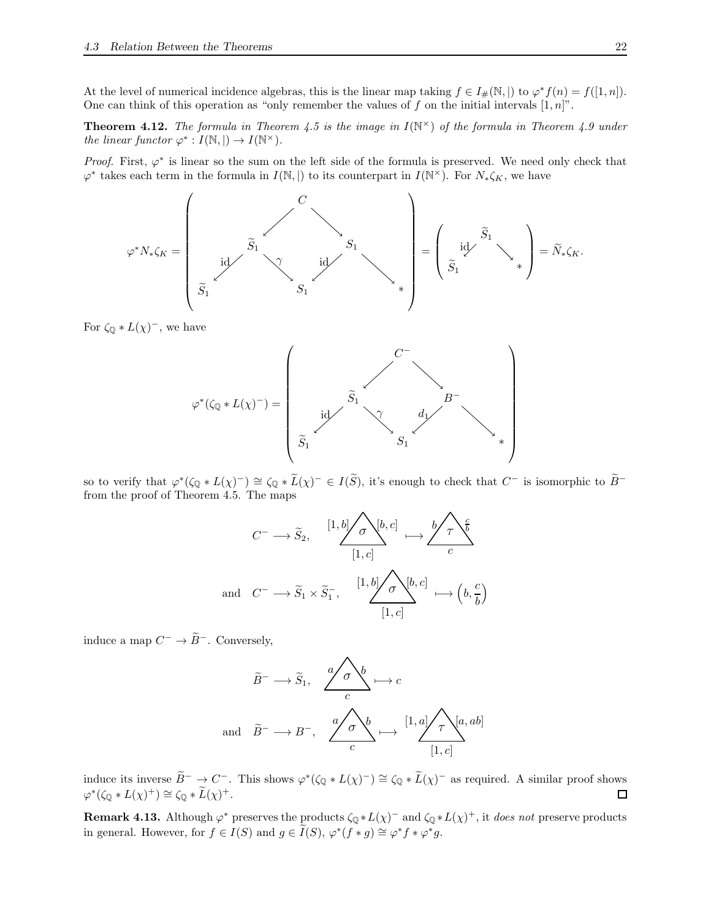At the level of numerical incidence algebras, this is the linear map taking  $f \in I_{\#}(\mathbb{N}, \mathbb{N})$  to  $\varphi^* f(n) = f([1, n]).$ One can think of this operation as "only remember the values of f on the initial intervals  $[1, n]$ ".

<span id="page-21-0"></span>**Theorem 4.12.** The formula in Theorem [4.5](#page-11-0) is the image in  $I(N^{\times})$  of the formula in Theorem [4.9](#page-18-0) under *the linear functor*  $\varphi^* : I(\mathbb{N}, \mathbb{N}) \to I(\mathbb{N}^\times)$ *.* 

*Proof.* First,  $\varphi^*$  is linear so the sum on the left side of the formula is preserved. We need only check that  $\varphi^*$  takes each term in the formula in  $I(\mathbb{N},\mathbb{N})$  to its counterpart in  $I(\mathbb{N}^{\times})$ . For  $N_*\zeta_K$ , we have

ϕ <sup>∗</sup>N∗ζ<sup>K</sup> = <sup>S</sup>e<sup>1</sup> <sup>S</sup><sup>1</sup> <sup>∗</sup> <sup>S</sup>e<sup>1</sup> <sup>S</sup><sup>1</sup> C id γ id = Se1 ∗ Se1 id <sup>=</sup> <sup>N</sup>e∗ζK.

For  $\zeta_{\mathbb{Q}} * L(\chi)^{-}$ , we have



so to verify that  $\varphi^*(\zeta_{\mathbb{Q}} * L(\chi)^-) \cong \zeta_{\mathbb{Q}} * \widetilde{L}(\chi)^- \in I(\widetilde{S}),$  it's enough to check that  $C^-$  is isomorphic to  $\widetilde{B}^$ from the proof of Theorem [4.5.](#page-11-0) The maps

$$
C^{-} \longrightarrow \widetilde{S}_{2}, \quad \begin{array}{c} [1, b] \nearrow \sigma \backslash [b, c] \\ [1, c] \end{array} \longmapsto \frac{b \nearrow \tau \backslash \frac{c}{b}}{c}
$$
  
and 
$$
C^{-} \longrightarrow \widetilde{S}_{1} \times \widetilde{S}_{1}^{-}, \quad \begin{array}{c} [1, b] \nearrow \sigma \backslash [b, c] \\ [1, c] \end{array} \longmapsto \left(b, \frac{c}{b}\right)
$$

induce a map  $C^- \to \overline{B}^-$ . Conversely,

$$
\widetilde{B}^{-} \longrightarrow \widetilde{S}_{1}, \quad \frac{a}{c} \downarrow b \longrightarrow c
$$
\n
$$
\widetilde{B}^{-} \longrightarrow B^{-}, \quad \frac{a}{c} \downarrow b \longrightarrow [1, a] \nearrow [a, ab]
$$
\n
$$
\widetilde{B}^{-} \longrightarrow B^{-}, \quad \frac{a}{c} \downarrow b \longrightarrow [1, c]
$$

induce its inverse  $\widetilde{B}^- \to C^-$ . This shows  $\varphi^*(\zeta_{\mathbb{Q}} * L(\chi)^-) \cong \zeta_{\mathbb{Q}} * \widetilde{L}(\chi)^-$  as required. A similar proof shows  $\varphi^*(\zeta_{\mathbb{Q}}*L(\chi)^+) \cong \zeta_{\mathbb{Q}}*\widetilde{L}(\chi)^+.$ 

**Remark 4.13.** Although  $\varphi^*$  preserves the products  $\zeta_{\mathbb{Q}} * L(\chi)^-$  and  $\zeta_{\mathbb{Q}} * L(\chi)^+$ , it *does not* preserve products in general. However, for  $f \in I(S)$  and  $g \in \widetilde{I}(S), \varphi^*(f * g) \cong \varphi^* f * \varphi^* g$ .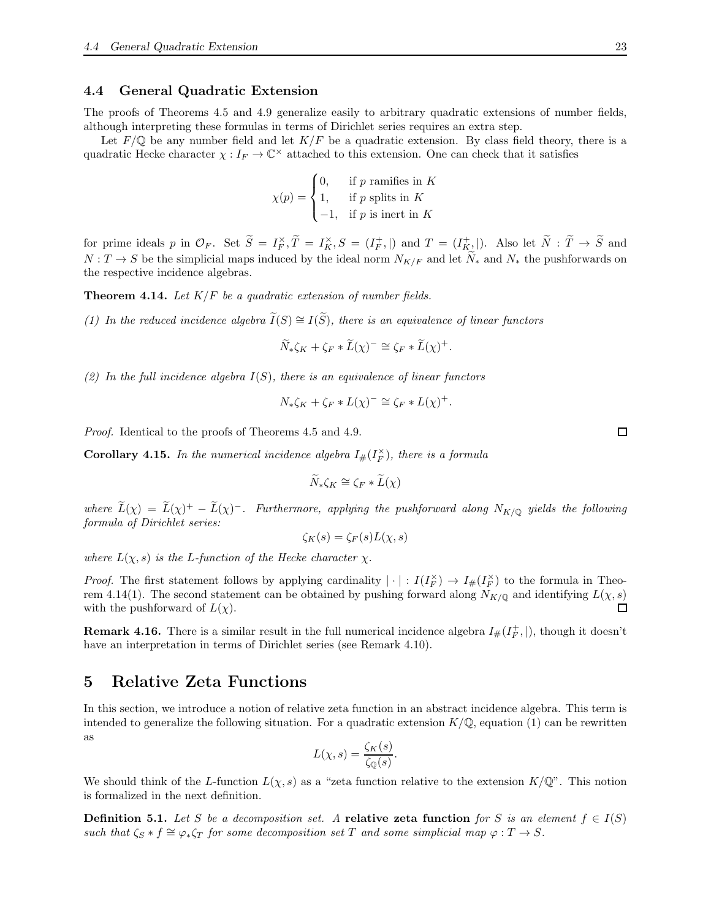### <span id="page-22-0"></span>4.4 General Quadratic Extension

The proofs of Theorems [4.5](#page-11-0) and [4.9](#page-18-0) generalize easily to arbitrary quadratic extensions of number fields, although interpreting these formulas in terms of Dirichlet series requires an extra step.

Let  $F/\mathbb{Q}$  be any number field and let  $K/F$  be a quadratic extension. By class field theory, there is a quadratic Hecke character  $\chi: I_F \to \mathbb{C}^\times$  attached to this extension. One can check that it satisfies

$$
\chi(p) = \begin{cases} 0, & \text{if } p \text{ ramifies in } K \\ 1, & \text{if } p \text{ splits in } K \\ -1, & \text{if } p \text{ is inert in } K \end{cases}
$$

for prime ideals p in  $\mathcal{O}_F$ . Set  $\widetilde{S} = I_F^{\times}, \widetilde{T} = I_K^{\times}, S = (I_F^+,\parallel)$  and  $T = (I_{K_2}^+ \parallel)$ . Also let  $\widetilde{N} : \widetilde{T} \to \widetilde{S}$  and  $N: T \to S$  be the simplicial maps induced by the ideal norm  $N_{K/F}$  and let  $\tilde{N}_{*}$  and  $N_{*}$  the pushforwards on the respective incidence algebras.

<span id="page-22-2"></span>Theorem 4.14. *Let* K/F *be a quadratic extension of number fields.*

*(1) In the reduced incidence algebra*  $\widetilde{I}(S) \cong I(\widetilde{S})$ *, there is an equivalence of linear functors* 

$$
\widetilde{N}_*\zeta_K + \zeta_F \ast \widetilde{L}(\chi)^- \cong \zeta_F \ast \widetilde{L}(\chi)^+.
$$

*(2) In the full incidence algebra* I(S)*, there is an equivalence of linear functors*

$$
N_{*}\zeta_{K} + \zeta_{F} * L(\chi)^{-} \cong \zeta_{F} * L(\chi)^{+}.
$$

*Proof.* Identical to the proofs of Theorems [4.5](#page-11-0) and [4.9.](#page-18-0)

**Corollary 4.15.** In the numerical incidence algebra  $I_{\#}(I_F^{\times})$ , there is a formula

$$
\widetilde{N} * \zeta_K \cong \zeta_F * \widetilde{L}(\chi)
$$

where  $L(\chi) = L(\chi)^+ - L(\chi)^-$ . Furthermore, applying the pushforward along  $N_{K/\mathbb{Q}}$  yields the following *formula of Dirichlet series:*

$$
\zeta_K(s) = \zeta_F(s)L(\chi, s)
$$

*where*  $L(\chi, s)$  *is the L-function of the Hecke character*  $\chi$ *.* 

*Proof.* The first statement follows by applying cardinality  $|\cdot|: I(I_F^{\times}) \to I_{\#}(I_F^{\times})$  to the formula in Theo-rem [4.14\(](#page-22-2)1). The second statement can be obtained by pushing forward along  $N_{K/\mathbb{Q}}$  and identifying  $L(\chi, s)$ with the pushforward of  $L(\chi)$ .  $\Box$ 

**Remark 4.16.** There is a similar result in the full numerical incidence algebra  $I_{\#}(I_F^+),$  though it doesn't have an interpretation in terms of Dirichlet series (see Remark [4.10\)](#page-20-1).

# <span id="page-22-1"></span>5 Relative Zeta Functions

In this section, we introduce a notion of relative zeta function in an abstract incidence algebra. This term is intended to generalize the following situation. For a quadratic extension  $K/\mathbb{Q}$ , equation [\(1\)](#page-0-0) can be rewritten as

$$
L(\chi, s) = \frac{\zeta_K(s)}{\zeta_{\mathbb{Q}}(s)}.
$$

We should think of the L-function  $L(\chi, s)$  as a "zeta function relative to the extension  $K/\mathbb{Q}$ ". This notion is formalized in the next definition.

**Definition 5.1.** Let S be a decomposition set. A relative zeta function for S is an element  $f \in I(S)$ *such that*  $\zeta_s * f \cong \varphi_* \zeta_T$  *for some decomposition set* T *and some simplicial map*  $\varphi : T \to S$ *.* 

 $\Box$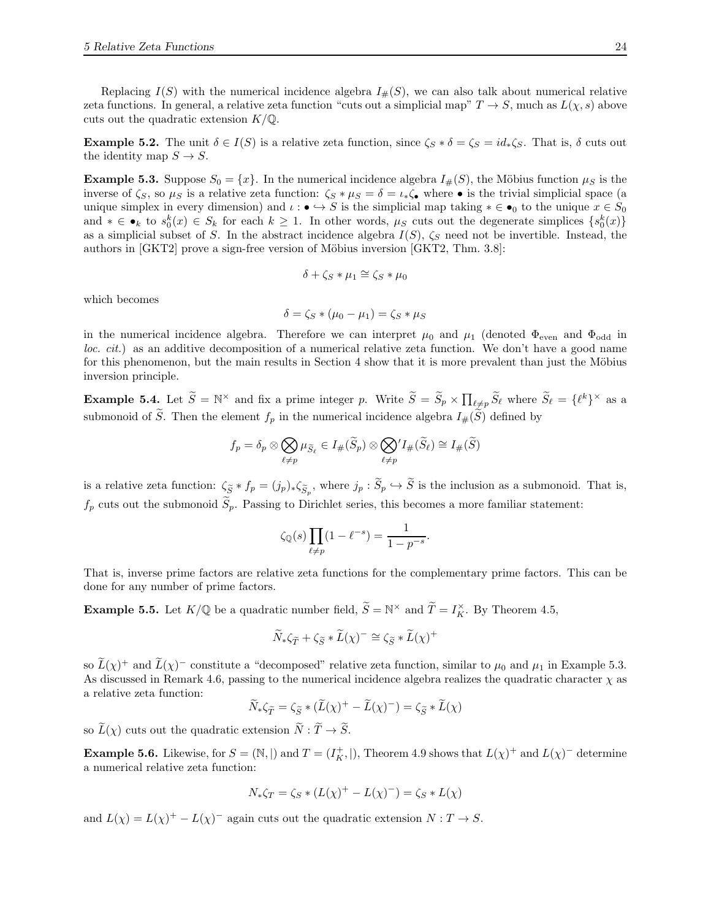Replacing  $I(S)$  with the numerical incidence algebra  $I_{\#}(S)$ , we can also talk about numerical relative zeta functions. In general, a relative zeta function "cuts out a simplicial map"  $T \to S$ , much as  $L(\chi, s)$  above cuts out the quadratic extension  $K/\mathbb{Q}$ .

**Example 5.2.** The unit  $\delta \in I(S)$  is a relative zeta function, since  $\zeta_s * \delta = \zeta_s = id_* \zeta_s$ . That is,  $\delta$  cuts out the identity map  $S \to S$ .

<span id="page-23-0"></span>**Example 5.3.** Suppose  $S_0 = \{x\}$ . In the numerical incidence algebra  $I_{\#}(S)$ , the Möbius function  $\mu_S$  is the inverse of  $\zeta_s$ , so  $\mu_s$  is a relative zeta function:  $\zeta_s * \mu_s = \delta = \iota_* \zeta_{\bullet}$  where  $\bullet$  is the trivial simplicial space (a unique simplex in every dimension) and  $\iota : \bullet \hookrightarrow S$  is the simplicial map taking  $*\in \bullet_0$  to the unique  $x \in S_0$ and  $* \in \bullet_k$  to  $s_0^k(x) \in S_k$  for each  $k \geq 1$ . In other words,  $\mu_S$  cuts out the degenerate simplices  $\{s_0^k(x)\}\$ as a simplicial subset of S. In the abstract incidence algebra  $I(S)$ ,  $\zeta_S$  need not be invertible. Instead, the authors in  $[GKT2]$  prove a sign-free version of Möbius inversion  $[GKT2, Thm. 3.8]$ :

$$
\delta+\zeta_S\ast\mu_1\cong\zeta_S\ast\mu_0
$$

which becomes

$$
\delta = \zeta_S * (\mu_0 - \mu_1) = \zeta_S * \mu_S
$$

in the numerical incidence algebra. Therefore we can interpret  $\mu_0$  and  $\mu_1$  (denoted  $\Phi_{\text{even}}$  and  $\Phi_{\text{odd}}$  in *loc. cit.*) as an additive decomposition of a numerical relative zeta function. We don't have a good name for this phenomenon, but the main results in Section [4](#page-8-0) show that it is more prevalent than just the Möbius inversion principle.

**Example 5.4.** Let  $\tilde{S} = \mathbb{N}^{\times}$  and fix a prime integer p. Write  $\tilde{S} = \tilde{S}_p \times \prod_{\ell \neq p} \tilde{S}_\ell$  where  $\tilde{S}_\ell = {\ell^k}^{\times}$  as a submonoid of  $\widetilde{S}$ . Then the element  $f_p$  in the numerical incidence algebra  $I_{\#}(\widetilde{S})$  defined by

$$
f_p = \delta_p \otimes \bigotimes_{\ell \neq p} \mu_{\widetilde{S}_{\ell}} \in I_{\#}(\widetilde{S}_p) \otimes \bigotimes_{\ell \neq p} I_{\#}(\widetilde{S}_{\ell}) \cong I_{\#}(\widetilde{S})
$$

is a relative zeta function:  $\zeta_{\widetilde{S}} * f_p = (j_p)_*\zeta_{\widetilde{S}_p}$ , where  $j_p : S_p \hookrightarrow S$  is the inclusion as a submonoid. That is,  $f_p$  cuts out the submonoid  $\tilde{S}_p$ . Passing to Dirichlet series, this becomes a more familiar statement:

$$
\zeta_{\mathbb{Q}}(s) \prod_{\ell \neq p} (1 - \ell^{-s}) = \frac{1}{1 - p^{-s}}.
$$

That is, inverse prime factors are relative zeta functions for the complementary prime factors. This can be done for any number of prime factors.

**Example 5.5.** Let  $K/\mathbb{Q}$  be a quadratic number field,  $\widetilde{S} = \mathbb{N}^\times$  and  $\widetilde{T} = I_K^\times$ . By Theorem [4.5,](#page-11-0)

$$
\widetilde{N}_{*}\zeta_{\widetilde{T}} + \zeta_{\widetilde{S}} * \widetilde{L}(\chi)^{-} \cong \zeta_{\widetilde{S}} * \widetilde{L}(\chi)^{+}
$$

so  $L(\chi)^+$  and  $L(\chi)^-$  constitute a "decomposed" relative zeta function, similar to  $\mu_0$  and  $\mu_1$  in Example [5.3.](#page-23-0) As discussed in Remark [4.6,](#page-13-0) passing to the numerical incidence algebra realizes the quadratic character  $\chi$  as a relative zeta function:

$$
\widetilde{N}_{*}\zeta_{\widetilde{T}} = \zeta_{\widetilde{S}} * (\widetilde{L}(\chi)^{+} - \widetilde{L}(\chi)^{-}) = \zeta_{\widetilde{S}} * \widetilde{L}(\chi)
$$

so  $\widetilde{L}(\chi)$  cuts out the quadratic extension  $\widetilde{N} : \widetilde{T} \to \widetilde{S}$ .

**Example 5.6.** Likewise, for  $S = (\mathbb{N}, |)$  and  $T = (I_K^+,\vert)$ , Theorem [4.9](#page-18-0) shows that  $L(\chi)^+$  and  $L(\chi)^-$  determine a numerical relative zeta function:

$$
N_{*}\zeta_{T} = \zeta_{S} * (L(\chi)^{+} - L(\chi)^{-}) = \zeta_{S} * L(\chi)
$$

and  $L(\chi) = L(\chi)^+ - L(\chi)^-$  again cuts out the quadratic extension  $N: T \to S$ .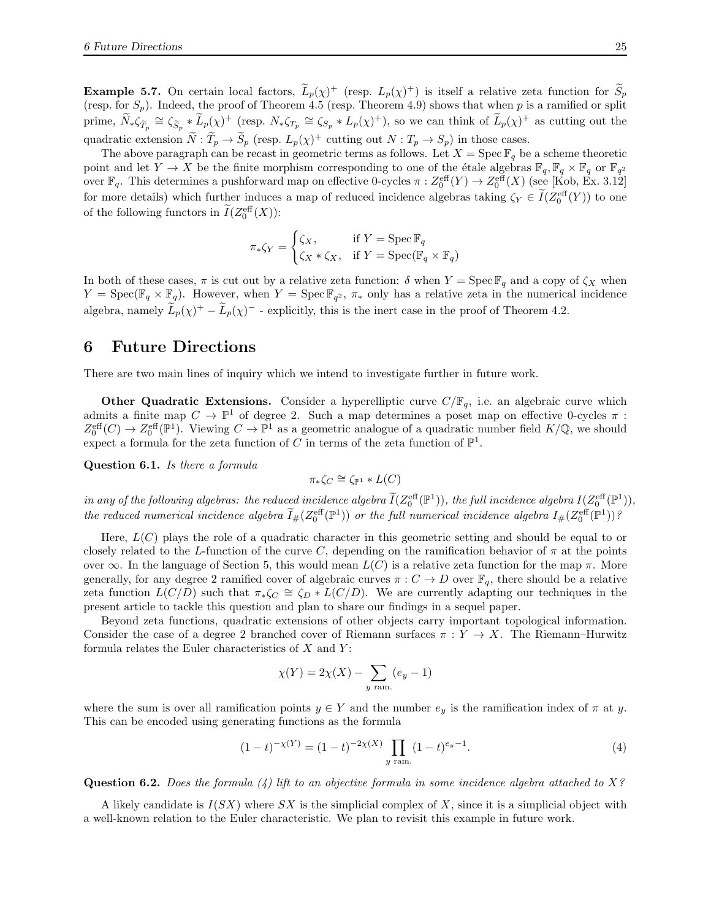**Example 5.7.** On certain local factors,  $L_p(\chi)^+$  (resp.  $L_p(\chi)^+$ ) is itself a relative zeta function for  $S_p$ (resp. for  $S_p$ ). Indeed, the proof of Theorem [4.5](#page-11-0) (resp. Theorem [4.9\)](#page-18-0) shows that when p is a ramified or split prime,  $\widetilde{N}_*\zeta_{\widetilde{T}_p} \cong \zeta_{\widetilde{S}_p} * \widetilde{L}_p(\chi)^+$  (resp.  $N_*\zeta_{T_p} \cong \zeta_{S_p} * L_p(\chi)^+$ ), so we can think of  $\widetilde{L}_p(\chi)^+$  as cutting out the quadratic extension  $\tilde{N} : \tilde{T}_p \to \tilde{S}_p$  (resp.  $L_p(\chi)^+$  cutting out  $N : T_p \to S_p$ ) in those cases.

The above paragraph can be recast in geometric terms as follows. Let  $X = \text{Spec } \mathbb{F}_q$  be a scheme theoretic point and let  $Y \to X$  be the finite morphism corresponding to one of the étale algebras  $\mathbb{F}_q$ ,  $\mathbb{F}_q \times \mathbb{F}_q$  or  $\mathbb{F}_{q^2}$ over  $\mathbb{F}_q$ . This determines a pushforward map on effective 0-cycles  $\pi: Z_0^{\text{eff}}(Y) \to Z_0^{\text{eff}}(X)$  (see [\[Kob,](#page-25-1) Ex. 3.12] for more details) which further induces a map of reduced incidence algebras taking  $\zeta_Y \in I(Z_0^{\text{eff}}(Y))$  to one of the following functors in  $\tilde{I}(Z_0^{\text{eff}}(X))$ :

$$
\pi_*\zeta_Y = \begin{cases} \zeta_X, & \text{if } Y = \operatorname{Spec} \mathbb{F}_q \\ \zeta_X * \zeta_X, & \text{if } Y = \operatorname{Spec} (\mathbb{F}_q \times \mathbb{F}_q) \end{cases}
$$

In both of these cases,  $\pi$  is cut out by a relative zeta function:  $\delta$  when  $Y = \text{Spec } \mathbb{F}_q$  and a copy of  $\zeta_X$  when  $Y = \text{Spec}(\mathbb{F}_q \times \mathbb{F}_q)$ . However, when  $Y = \text{Spec } \mathbb{F}_{q^2}$ ,  $\pi_*$  only has a relative zeta in the numerical incidence algebra, namely  $\tilde{L}_p(\chi)^+ - \tilde{L}_p(\chi)^-$  - explicitly, this is the inert case in the proof of Theorem [4.2.](#page-8-2)

# 6 Future Directions

There are two main lines of inquiry which we intend to investigate further in future work.

**Other Quadratic Extensions.** Consider a hyperelliptic curve  $C/F_q$ , i.e. an algebraic curve which admits a finite map  $C \to \mathbb{P}^1$  of degree 2. Such a map determines a poset map on effective 0-cycles  $\pi$ :  $Z_0^{\text{eff}}(C) \to Z_0^{\text{eff}}(\mathbb{P}^1)$ . Viewing  $C \to \mathbb{P}^1$  as a geometric analogue of a quadratic number field  $K/\mathbb{Q}$ , we should expect a formula for the zeta function of C in terms of the zeta function of  $\mathbb{P}^1$ .

Question 6.1. *Is there a formula*

$$
\pi_*\zeta_C\cong \zeta_{\mathbb{P}^1}*L(C)
$$

in any of the following algebras: the reduced incidence algebra  $I(Z_0^{\text{eff}}(\mathbb{P}^1))$ , the full incidence algebra  $I(Z_0^{\text{eff}}(\mathbb{P}^1))$ , *the reduced numerical incidence algebra*  $\widetilde{I}_{\#}(Z_0^{\text{eff}}(\mathbb{P}^1))$  *or the full numerical incidence algebra*  $I_{\#}(Z_0^{\text{eff}}(\mathbb{P}^1))$ ?

Here,  $L(C)$  plays the role of a quadratic character in this geometric setting and should be equal to or closely related to the L-function of the curve C, depending on the ramification behavior of  $\pi$  at the points over  $\infty$ . In the language of Section [5,](#page-22-1) this would mean  $L(C)$  is a relative zeta function for the map  $\pi$ . More generally, for any degree 2 ramified cover of algebraic curves  $\pi: C \to D$  over  $\mathbb{F}_q$ , there should be a relative zeta function  $L(C/D)$  such that  $\pi_*\zeta_C \cong \zeta_D * L(C/D)$ . We are currently adapting our techniques in the present article to tackle this question and plan to share our findings in a sequel paper.

Beyond zeta functions, quadratic extensions of other objects carry important topological information. Consider the case of a degree 2 branched cover of Riemann surfaces  $\pi : Y \to X$ . The Riemann–Hurwitz formula relates the Euler characteristics of  $X$  and  $Y$ :

$$
\chi(Y) = 2\chi(X) - \sum_{y \text{ ram.}} (e_y - 1)
$$

where the sum is over all ramification points  $y \in Y$  and the number  $e_y$  is the ramification index of  $\pi$  at y. This can be encoded using generating functions as the formula

<span id="page-24-0"></span>
$$
(1-t)^{-\chi(Y)} = (1-t)^{-2\chi(X)} \prod_{y \text{ ram.}} (1-t)^{e_y-1}.
$$
 (4)

Question 6.2. *Does the formula [\(4\)](#page-24-0) lift to an objective formula in some incidence algebra attached to* X*?*

A likely candidate is  $I(SX)$  where SX is the simplicial complex of X, since it is a simplicial object with a well-known relation to the Euler characteristic. We plan to revisit this example in future work.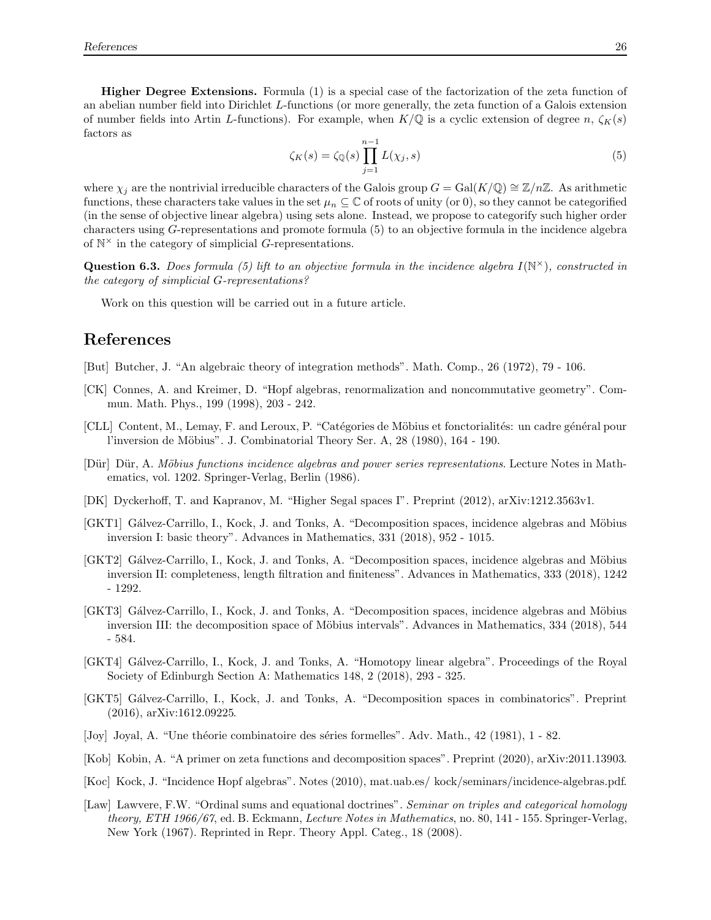Higher Degree Extensions. Formula [\(1\)](#page-0-0) is a special case of the factorization of the zeta function of an abelian number field into Dirichlet L-functions (or more generally, the zeta function of a Galois extension of number fields into Artin L-functions). For example, when  $K/\mathbb{Q}$  is a cyclic extension of degree n,  $\zeta_K(s)$ factors as

<span id="page-25-13"></span>
$$
\zeta_K(s) = \zeta_{\mathbb{Q}}(s) \prod_{j=1}^{n-1} L(\chi_j, s) \tag{5}
$$

where  $\chi_j$  are the nontrivial irreducible characters of the Galois group  $G = \text{Gal}(K/\mathbb{Q}) \cong \mathbb{Z}/n\mathbb{Z}$ . As arithmetic functions, these characters take values in the set  $\mu_n \subseteq \mathbb{C}$  of roots of unity (or 0), so they cannot be categorified (in the sense of objective linear algebra) using sets alone. Instead, we propose to categorify such higher order characters using G-representations and promote formula [\(5\)](#page-25-13) to an objective formula in the incidence algebra of  $\mathbb{N}^{\times}$  in the category of simplicial G-representations.

Question 6.3. *Does formula [\(5\)](#page-25-13) lift to an objective formula in the incidence algebra* I(N <sup>×</sup>)*, constructed in the category of simplicial* G*-representations?*

Work on this question will be carried out in a future article.

# References

- <span id="page-25-4"></span>[But] Butcher, J. "An algebraic theory of integration methods". Math. Comp., 26 (1972), 79 - 106.
- <span id="page-25-5"></span>[CK] Connes, A. and Kreimer, D. "Hopf algebras, renormalization and noncommutative geometry". Commun. Math. Phys., 199 (1998), 203 - 242.
- <span id="page-25-2"></span>[CLL] Content, M., Lemay, F. and Leroux, P. "Catégories de Möbius et fonctorialités: un cadre général pour l'inversion de Möbius". J. Combinatorial Theory Ser. A, 28 (1980), 164 - 190.
- <span id="page-25-3"></span>[D¨ur] D¨ur, A. *M¨obius functions incidence algebras and power series representations*. Lecture Notes in Mathematics, vol. 1202. Springer-Verlag, Berlin (1986).
- <span id="page-25-7"></span>[DK] Dyckerhoff, T. and Kapranov, M. "Higher Segal spaces I". Preprint (2012), [arXiv:1212.3563v1.](https://arxiv.org/abs/1212.3563v1)
- <span id="page-25-0"></span>[GKT1] Gálvez-Carrillo, I., Kock, J. and Tonks, A. "Decomposition spaces, incidence algebras and Möbius inversion I: basic theory". Advances in Mathematics, 331 (2018), 952 - 1015.
- <span id="page-25-8"></span>[GKT2] Gálvez-Carrillo, I., Kock, J. and Tonks, A. "Decomposition spaces, incidence algebras and Möbius inversion II: completeness, length filtration and finiteness". Advances in Mathematics, 333 (2018), 1242 - 1292.
- <span id="page-25-9"></span>[GKT3] Gálvez-Carrillo, I., Kock, J. and Tonks, A. "Decomposition spaces, incidence algebras and Möbius inversion III: the decomposition space of Möbius intervals". Advances in Mathematics, 334 (2018), 544 - 584.
- <span id="page-25-10"></span>[GKT4] G´alvez-Carrillo, I., Kock, J. and Tonks, A. "Homotopy linear algebra". Proceedings of the Royal Society of Edinburgh Section A: Mathematics 148, 2 (2018), 293 - 325.
- <span id="page-25-11"></span>[GKT5] Gálvez-Carrillo, I., Kock, J. and Tonks, A. "Decomposition spaces in combinatorics". Preprint (2016), [arXiv:1612.09225.](http://arxiv.org/abs/1612.09225)
- <span id="page-25-6"></span>[Joy] Joyal, A. "Une théorie combinatoire des séries formelles". Adv. Math., 42 (1981), 1 - 82.
- <span id="page-25-1"></span>[Kob] Kobin, A. "A primer on zeta functions and decomposition spaces". Preprint (2020), [arXiv:2011.13903.](https://arxiv.org/abs/2011.13903)
- [Koc] Kock, J. "Incidence Hopf algebras". Notes (2010), [mat.uab.es/ kock/seminars/incidence-algebras.pdf.](http://mat.uab.es/~kock/seminars/incidence-algebras.pdf)
- <span id="page-25-12"></span>[Law] Lawvere, F.W. "Ordinal sums and equational doctrines". *Seminar on triples and categorical homology theory, ETH 1966/67*, ed. B. Eckmann, *Lecture Notes in Mathematics*, no. 80, 141 - 155. Springer-Verlag, New York (1967). Reprinted in Repr. Theory Appl. Categ., 18 (2008).